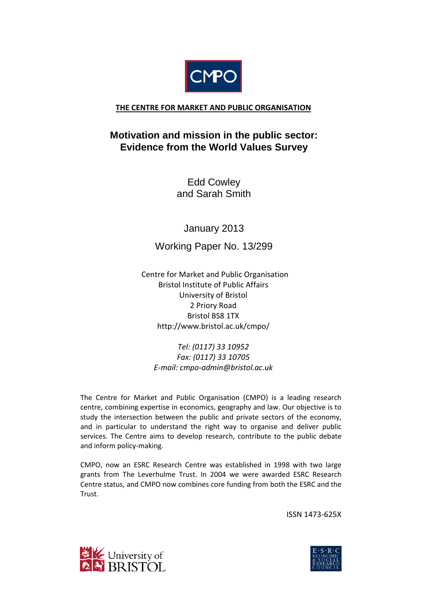

## **THE CENTRE FOR MARKET AND PUBLIC ORGANISATION**

# **Motivation and mission in the public sector: Evidence from the World Values Survey**

Edd Cowley and Sarah Smith

January 2013

Working Paper No. 13/299

 Centre for Market and Public Organisation Bristol Institute of Public Affairs University of Bristol 2 Priory Road Bristol BS8 1TX http://www.bristol.ac.uk/cmpo/

*Tel: (0117) 33 10952 Fax: (0117) 33 10705 E-mail: cmpo-admin@bristol.ac.uk*

The Centre for Market and Public Organisation (CMPO) is a leading research centre, combining expertise in economics, geography and law. Our objective is to study the intersection between the public and private sectors of the economy, and in particular to understand the right way to organise and deliver public services. The Centre aims to develop research, contribute to the public debate and inform policy-making.

CMPO, now an ESRC Research Centre was established in 1998 with two large grants from The Leverhulme Trust. In 2004 we were awarded ESRC Research Centre status, and CMPO now combines core funding from both the ESRC and the Trust.

ISSN 1473-625X



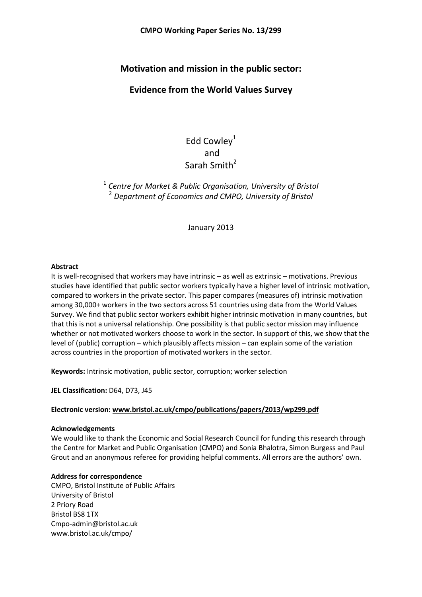# **Motivation and mission in the public sector:**

# **Evidence from the World Values Survey**

Edd Cowley<sup>1</sup> and Sarah Smith<sup>2</sup>

<sup>1</sup> *Centre for Market & Public Organisation, University of Bristol* <sup>2</sup> *Department of Economics and CMPO, University of Bristol*

January 2013

## **Abstract**

It is well-recognised that workers may have intrinsic – as well as extrinsic – motivations. Previous studies have identified that public sector workers typically have a higher level of intrinsic motivation, compared to workers in the private sector. This paper compares (measures of) intrinsic motivation among 30,000+ workers in the two sectors across 51 countries using data from the World Values Survey. We find that public sector workers exhibit higher intrinsic motivation in many countries, but that this is not a universal relationship. One possibility is that public sector mission may influence whether or not motivated workers choose to work in the sector. In support of this, we show that the level of (public) corruption – which plausibly affects mission – can explain some of the variation across countries in the proportion of motivated workers in the sector.

**Keywords:** Intrinsic motivation, public sector, corruption; worker selection

**JEL Classification:** D64, D73, J45

## **Electronic version: www.bristol.ac.uk/cmpo/publications/papers/2013/wp299.pdf**

### **Acknowledgements**

We would like to thank the Economic and Social Research Council for funding this research through the Centre for Market and Public Organisation (CMPO) and Sonia Bhalotra, Simon Burgess and Paul Grout and an anonymous referee for providing helpful comments. All errors are the authors' own.

### **Address for correspondence**

CMPO, Bristol Institute of Public Affairs University of Bristol 2 Priory Road Bristol BS8 1TX Cmpo-admin@bristol.ac.uk www.bristol.ac.uk/cmpo/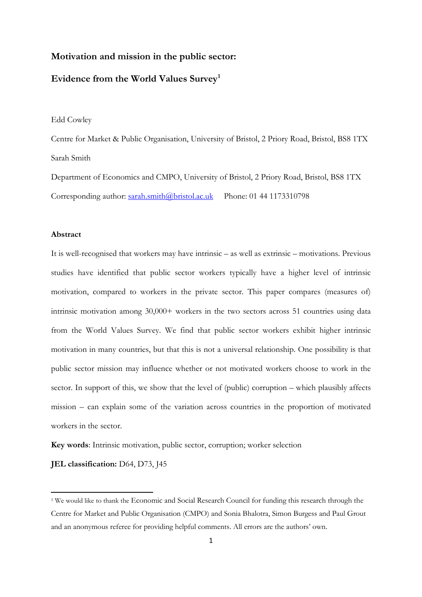### **Motivation and mission in the public sector:**

## **Evidence from the World Values Survey[1](#page-2-0)**

### Edd Cowley

Centre for Market & Public Organisation, University of Bristol, 2 Priory Road, Bristol, BS8 1TX Sarah Smith

Department of Economics and CMPO, University of Bristol, 2 Priory Road, Bristol, BS8 1TX Corresponding author: [sarah.smith@bristol.ac.uk](mailto:sarah.smith@bristol.ac.uk) Phone: 01 44 1173310798

#### **Abstract**

It is well-recognised that workers may have intrinsic – as well as extrinsic – motivations. Previous studies have identified that public sector workers typically have a higher level of intrinsic motivation, compared to workers in the private sector. This paper compares (measures of) intrinsic motivation among 30,000+ workers in the two sectors across 51 countries using data from the World Values Survey. We find that public sector workers exhibit higher intrinsic motivation in many countries, but that this is not a universal relationship. One possibility is that public sector mission may influence whether or not motivated workers choose to work in the sector. In support of this, we show that the level of (public) corruption – which plausibly affects mission – can explain some of the variation across countries in the proportion of motivated workers in the sector.

**Key words**: Intrinsic motivation, public sector, corruption; worker selection

**JEL classification:** D64, D73, J45

.<br>-

<span id="page-2-0"></span><sup>1</sup> We would like to thank the Economic and Social Research Council for funding this research through the Centre for Market and Public Organisation (CMPO) and Sonia Bhalotra, Simon Burgess and Paul Grout and an anonymous referee for providing helpful comments. All errors are the authors' own.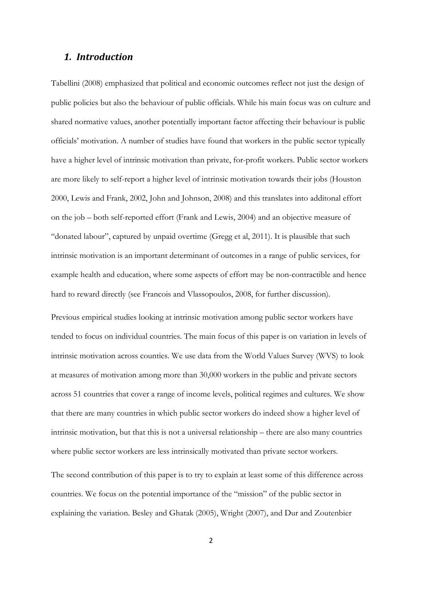## *1. Introduction*

Tabellini (2008) emphasized that political and economic outcomes reflect not just the design of public policies but also the behaviour of public officials. While his main focus was on culture and shared normative values, another potentially important factor affecting their behaviour is public officials' motivation. A number of studies have found that workers in the public sector typically have a higher level of intrinsic motivation than private, for-profit workers. Public sector workers are more likely to self-report a higher level of intrinsic motivation towards their jobs (Houston 2000, Lewis and Frank, 2002, John and Johnson, 2008) and this translates into additonal effort on the job – both self-reported effort (Frank and Lewis, 2004) and an objective measure of "donated labour", captured by unpaid overtime (Gregg et al, 2011). It is plausible that such intrinsic motivation is an important determinant of outcomes in a range of public services, for example health and education, where some aspects of effort may be non-contractible and hence hard to reward directly (see Francois and Vlassopoulos, 2008, for further discussion).

Previous empirical studies looking at intrinsic motivation among public sector workers have tended to focus on individual countries. The main focus of this paper is on variation in levels of intrinsic motivation across counties. We use data from the World Values Survey (WVS) to look at measures of motivation among more than 30,000 workers in the public and private sectors across 51 countries that cover a range of income levels, political regimes and cultures. We show that there are many countries in which public sector workers do indeed show a higher level of intrinsic motivation, but that this is not a universal relationship – there are also many countries where public sector workers are less intrinsically motivated than private sector workers.

The second contribution of this paper is to try to explain at least some of this difference across countries. We focus on the potential importance of the "mission" of the public sector in explaining the variation. Besley and Ghatak (2005), Wright (2007), and Dur and Zoutenbier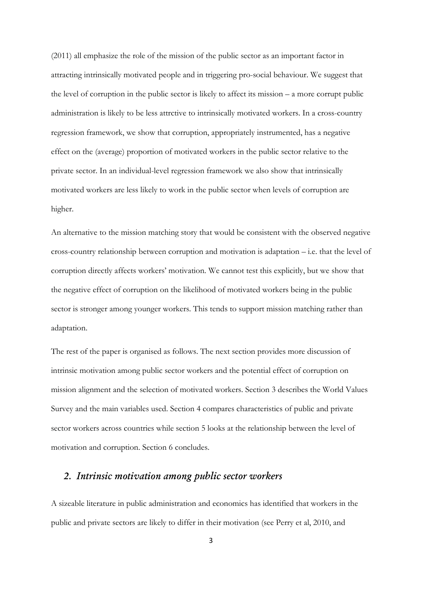(2011) all emphasize the role of the mission of the public sector as an important factor in attracting intrinsically motivated people and in triggering pro-social behaviour. We suggest that the level of corruption in the public sector is likely to affect its mission – a more corrupt public administration is likely to be less attrctive to intrinsically motivated workers. In a cross-country regression framework, we show that corruption, appropriately instrumented, has a negative effect on the (average) proportion of motivated workers in the public sector relative to the private sector. In an individual-level regression framework we also show that intrinsically motivated workers are less likely to work in the public sector when levels of corruption are higher.

An alternative to the mission matching story that would be consistent with the observed negative cross-country relationship between corruption and motivation is adaptation – i.e. that the level of corruption directly affects workers' motivation. We cannot test this explicitly, but we show that the negative effect of corruption on the likelihood of motivated workers being in the public sector is stronger among younger workers. This tends to support mission matching rather than adaptation.

The rest of the paper is organised as follows. The next section provides more discussion of intrinsic motivation among public sector workers and the potential effect of corruption on mission alignment and the selection of motivated workers. Section 3 describes the World Values Survey and the main variables used. Section 4 compares characteristics of public and private sector workers across countries while section 5 looks at the relationship between the level of motivation and corruption. Section 6 concludes.

# *2. Intrinsic motivation among public sector workers*

A sizeable literature in public administration and economics has identified that workers in the public and private sectors are likely to differ in their motivation (see Perry et al, 2010, and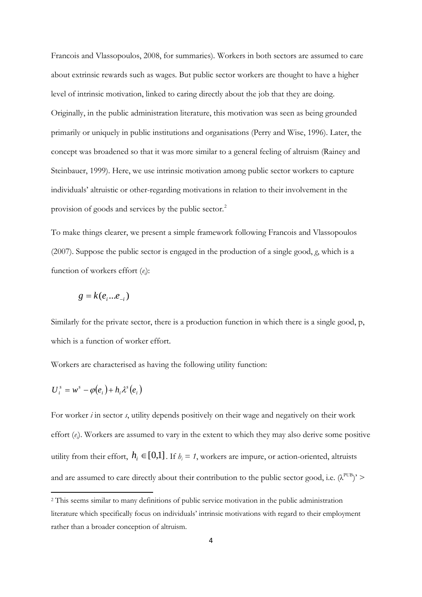Francois and Vlassopoulos, 2008, for summaries). Workers in both sectors are assumed to care about extrinsic rewards such as wages. But public sector workers are thought to have a higher level of intrinsic motivation, linked to caring directly about the job that they are doing. Originally, in the public administration literature, this motivation was seen as being grounded primarily or uniquely in public institutions and organisations (Perry and Wise, 1996). Later, the concept was broadened so that it was more similar to a general feeling of altruism (Rainey and Steinbauer, 1999). Here, we use intrinsic motivation among public sector workers to capture individuals' altruistic or other-regarding motivations in relation to their involvement in the provision of goods and services by the public sector. [2](#page-5-0)

To make things clearer, we present a simple framework following Francois and Vlassopoulos (2007). Suppose the public sector is engaged in the production of a single good, *g*, which is a function of workers effort  $(e_i)$ :

$$
g=k(e_i...e_{-i})
$$

Similarly for the private sector, there is a production function in which there is a single good, p, which is a function of worker effort.

Workers are characterised as having the following utility function:

$$
U_i^s = w^s - \varphi(e_i) + h_i \lambda^s(e_i)
$$

.<br>-

For worker *i* in sector *s*, utility depends positively on their wage and negatively on their work effort (*ei* ). Workers are assumed to vary in the extent to which they may also derive some positive utility from their effort,  $h_i \in [0,1]$ . If  $h_i = 1$ , workers are impure, or action-oriented, altruists and are assumed to care directly about their contribution to the public sector good, i.e.  $(\lambda^{\text{PUB}})^{'}$  >

<span id="page-5-0"></span><sup>&</sup>lt;sup>2</sup> This seems similar to many definitions of public service motivation in the public administration literature which specifically focus on individuals' intrinsic motivations with regard to their employment rather than a broader conception of altruism.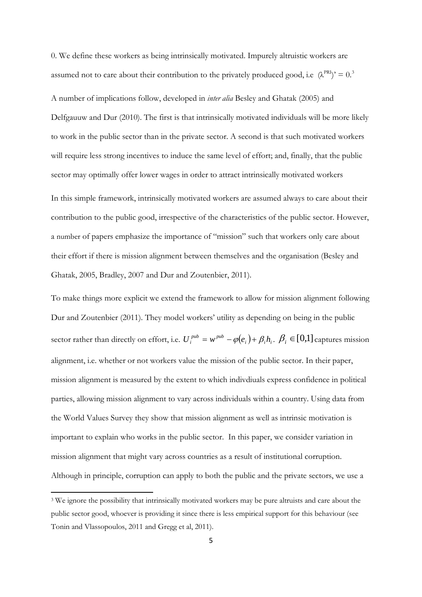0. We define these workers as being intrinsically motivated. Impurely altruistic workers are assumed not to care about their contribution to the privately produced good, i.e.  $(\lambda^{\text{PR}})^{2} = 0$ . A number of implications follow, developed in *inter alia* Besley and Ghatak (2005) and Delfgauuw and Dur (2010). The first is that intrinsically motivated individuals will be more likely to work in the public sector than in the private sector. A second is that such motivated workers will require less strong incentives to induce the same level of effort; and, finally, that the public sector may optimally offer lower wages in order to attract intrinsically motivated workers In this simple framework, intrinsically motivated workers are assumed always to care about their contribution to the public good, irrespective of the characteristics of the public sector. However, a number of papers emphasize the importance of "mission" such that workers only care about their effort if there is mission alignment between themselves and the organisation (Besley and Ghatak, 2005, Bradley, 2007 and Dur and Zoutenbier, 2011).

To make things more explicit we extend the framework to allow for mission alignment following Dur and Zoutenbier (2011). They model workers' utility as depending on being in the public sector rather than directly on effort, i.e.  $U_i^{pub} = w^{pub} - \varphi(e_i) + \beta_i h_i$ .  $\beta_i \in [0,1]$  captures mission alignment, i.e. whether or not workers value the mission of the public sector. In their paper, mission alignment is measured by the extent to which indivdiuals express confidence in political parties, allowing mission alignment to vary across individuals within a country. Using data from the World Values Survey they show that mission alignment as well as intrinsic motivation is important to explain who works in the public sector. In this paper, we consider variation in mission alignment that might vary across countries as a result of institutional corruption. Although in principle, corruption can apply to both the public and the private sectors, we use a

.<br>-

<span id="page-6-0"></span><sup>&</sup>lt;sup>3</sup> We ignore the possibility that intrinsically motivated workers may be pure altruists and care about the public sector good, whoever is providing it since there is less empirical support for this behaviour (see Tonin and Vlassopoulos, 2011 and Gregg et al, 2011).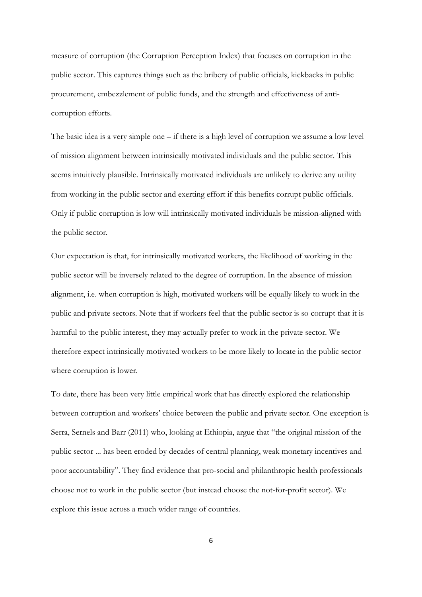measure of corruption (the Corruption Perception Index) that focuses on corruption in the public sector. This captures things such as the bribery of public officials, kickbacks in public procurement, embezzlement of public funds, and the strength and effectiveness of anticorruption efforts.

The basic idea is a very simple one – if there is a high level of corruption we assume a low level of mission alignment between intrinsically motivated individuals and the public sector. This seems intuitively plausible. Intrinsically motivated individuals are unlikely to derive any utility from working in the public sector and exerting effort if this benefits corrupt public officials. Only if public corruption is low will intrinsically motivated individuals be mission-aligned with the public sector.

Our expectation is that, for intrinsically motivated workers, the likelihood of working in the public sector will be inversely related to the degree of corruption. In the absence of mission alignment, i.e. when corruption is high, motivated workers will be equally likely to work in the public and private sectors. Note that if workers feel that the public sector is so corrupt that it is harmful to the public interest, they may actually prefer to work in the private sector. We therefore expect intrinsically motivated workers to be more likely to locate in the public sector where corruption is lower.

To date, there has been very little empirical work that has directly explored the relationship between corruption and workers' choice between the public and private sector. One exception is Serra, Sernels and Barr (2011) who, looking at Ethiopia, argue that "the original mission of the public sector ... has been eroded by decades of central planning, weak monetary incentives and poor accountability". They find evidence that pro-social and philanthropic health professionals choose not to work in the public sector (but instead choose the not-for-profit sector). We explore this issue across a much wider range of countries.

6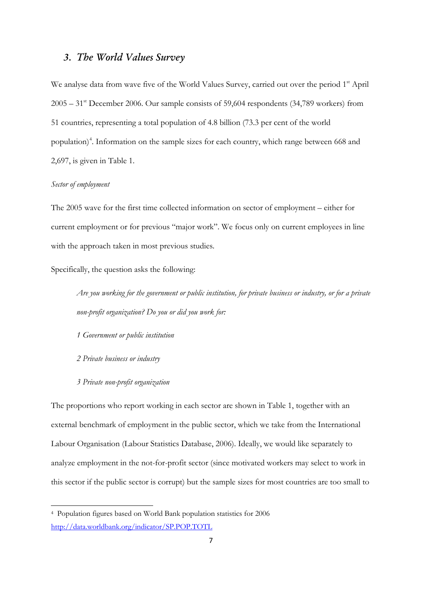## *3. The World Values Survey*

We analyse data from wave five of the World Values Survey, carried out over the period 1<sup>st</sup> April  $2005 - 31$ <sup>st</sup> December 2006. Our sample consists of 59,604 respondents (34,789 workers) from 51 countries, representing a total population of 4.8 billion (73.3 per cent of the world population)<sup>[4](#page-8-0)</sup>. Information on the sample sizes for each country, which range between 668 and 2,697, is given in Table 1.

### *Sector of employment*

<u>.</u>

The 2005 wave for the first time collected information on sector of employment – either for current employment or for previous "major work". We focus only on current employees in line with the approach taken in most previous studies.

Specifically, the question asks the following:

*Are you working for the government or public institution, for private business or industry, or for a private non-profit organization? Do you or did you work for:*

*1 Government or public institution*

- *2 Private business or industry*
- *3 Private non-profit organization*

The proportions who report working in each sector are shown in Table 1, together with an external benchmark of employment in the public sector, which we take from the International Labour Organisation (Labour Statistics Database, 2006). Ideally, we would like separately to analyze employment in the not-for-profit sector (since motivated workers may select to work in this sector if the public sector is corrupt) but the sample sizes for most countries are too small to

<span id="page-8-0"></span><sup>4</sup> Population figures based on World Bank population statistics for 2006 <http://data.worldbank.org/indicator/SP.POP.TOTL>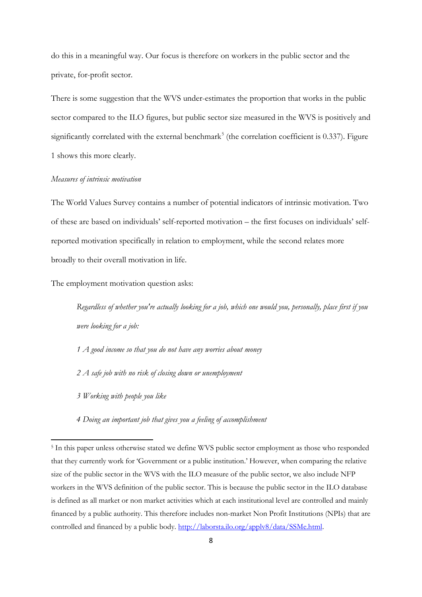do this in a meaningful way. Our focus is therefore on workers in the public sector and the private, for-profit sector.

There is some suggestion that the WVS under-estimates the proportion that works in the public sector compared to the ILO figures, but public sector size measured in the WVS is positively and significantly correlated with the external benchmark<sup>[5](#page-9-0)</sup> (the correlation coefficient is 0.337). Figure 1 shows this more clearly.

#### *Measures of intrinsic motivation*

The World Values Survey contains a number of potential indicators of intrinsic motivation. Two of these are based on individuals' self-reported motivation – the first focuses on individuals' selfreported motivation specifically in relation to employment, while the second relates more broadly to their overall motivation in life.

The employment motivation question asks:

*Regardless of whether you're actually looking for a job, which one would you, personally, place first if you were looking for a job:*

*1 A good income so that you do not have any worries about money*

*2 A safe job with no risk of closing down or unemployment*

*3 Working with people you like*

.<br>-

*4 Doing an important job that gives you a feeling of accomplishment*

<span id="page-9-0"></span><sup>5</sup> In this paper unless otherwise stated we define WVS public sector employment as those who responded that they currently work for 'Government or a public institution.' However, when comparing the relative size of the public sector in the WVS with the ILO measure of the public sector, we also include NFP workers in the WVS definition of the public sector. This is because the public sector in the ILO database is defined as all market or non market activities which at each institutional level are controlled and mainly financed by a public authority. This therefore includes non-market Non Profit Institutions (NPIs) that are controlled and financed by a public body. [http://laborsta.ilo.org/applv8/data/SSMe.html.](http://laborsta.ilo.org/applv8/data/SSMe.html)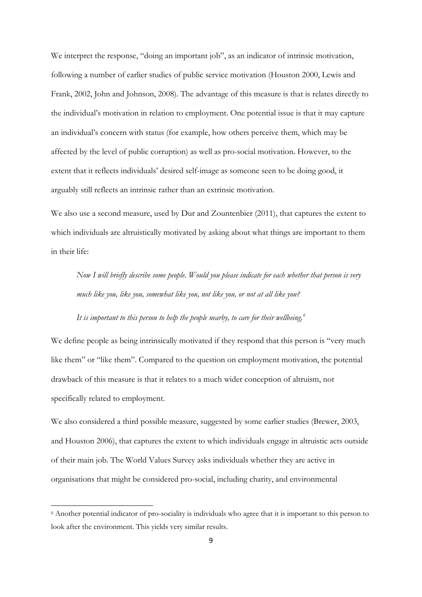We interpret the response, "doing an important job", as an indicator of intrinsic motivation, following a number of earlier studies of public service motivation (Houston 2000, Lewis and Frank, 2002, John and Johnson, 2008). The advantage of this measure is that is relates directly to the individual's motivation in relation to employment. One potential issue is that it may capture an individual's concern with status (for example, how others perceive them, which may be affected by the level of public corruption) as well as pro-social motivation. However, to the extent that it reflects individuals' desired self-image as someone seen to be doing good, it arguably still reflects an intrinsic rather than an extrinsic motivation.

We also use a second measure, used by Dur and Zountenbier (2011), that captures the extent to which individuals are altruistically motivated by asking about what things are important to them in their life:

*Now I will briefly describe some people. Would you please indicate for each whether that person is very much like you, like you, somewhat like you, not like you, or not at all like you?*

*It is important to this person to help the people nearby, to care for their wellbeing.[6](#page-10-0)*

We define people as being intrinsically motivated if they respond that this person is "very much like them" or "like them". Compared to the question on employment motivation, the potential drawback of this measure is that it relates to a much wider conception of altruism, not specifically related to employment.

We also considered a third possible measure, suggested by some earlier studies (Brewer, 2003, and Houston 2006), that captures the extent to which individuals engage in altruistic acts outside of their main job. The World Values Survey asks individuals whether they are active in organisations that might be considered pro-social, including charity, and environmental

<u>.</u>

<span id="page-10-0"></span><sup>6</sup> Another potential indicator of pro-sociality is individuals who agree that it is important to this person to look after the environment. This yields very similar results.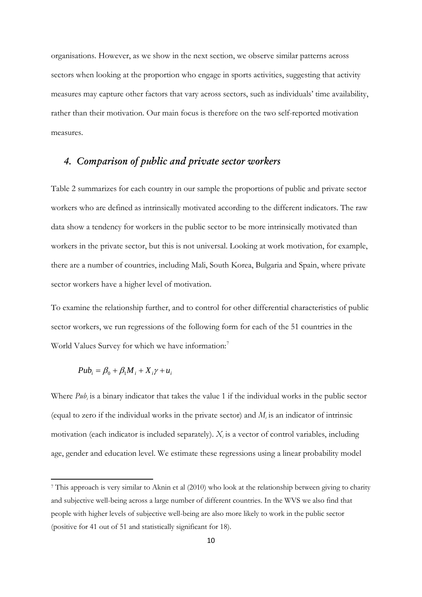organisations. However, as we show in the next section, we observe similar patterns across sectors when looking at the proportion who engage in sports activities, suggesting that activity measures may capture other factors that vary across sectors, such as individuals' time availability, rather than their motivation. Our main focus is therefore on the two self-reported motivation measures.

# *4. Comparison of public and private sector workers*

Table 2 summarizes for each country in our sample the proportions of public and private sector workers who are defined as intrinsically motivated according to the different indicators. The raw data show a tendency for workers in the public sector to be more intrinsically motivated than workers in the private sector, but this is not universal. Looking at work motivation, for example, there are a number of countries, including Mali, South Korea, Bulgaria and Spain, where private sector workers have a higher level of motivation.

To examine the relationship further, and to control for other differential characteristics of public sector workers, we run regressions of the following form for each of the 51 countries in the World Values Survey for which we have information:[7](#page-11-0)

$$
Pubi = \beta0 + \beta1Mi + Xi \gamma + ui
$$

<u>.</u>

Where *Pubi* is a binary indicator that takes the value 1 if the individual works in the public sector (equal to zero if the individual works in the private sector) and *Mi* is an indicator of intrinsic motivation (each indicator is included separately). *Xi* is a vector of control variables, including age, gender and education level. We estimate these regressions using a linear probability model

<span id="page-11-0"></span><sup>7</sup> This approach is very similar to Aknin et al (2010) who look at the relationship between giving to charity and subjective well-being across a large number of different countries. In the WVS we also find that people with higher levels of subjective well-being are also more likely to work in the public sector (positive for 41 out of 51 and statistically significant for 18).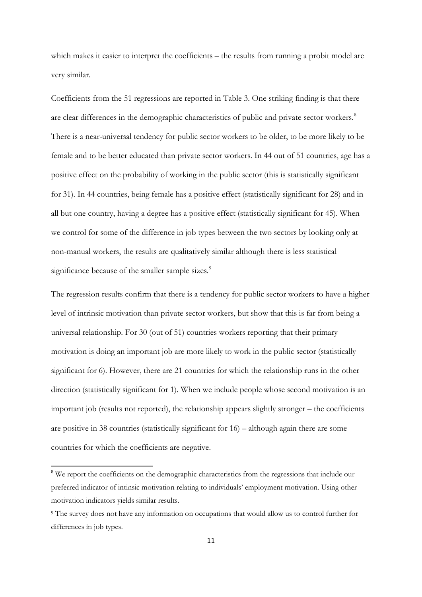which makes it easier to interpret the coefficients – the results from running a probit model are very similar.

Coefficients from the 51 regressions are reported in Table 3. One striking finding is that there are clear differences in the demographic characteristics of public and private sector workers.<sup>[8](#page-12-0)</sup> There is a near-universal tendency for public sector workers to be older, to be more likely to be female and to be better educated than private sector workers. In 44 out of 51 countries, age has a positive effect on the probability of working in the public sector (this is statistically significant for 31). In 44 countries, being female has a positive effect (statistically significant for 28) and in all but one country, having a degree has a positive effect (statistically significant for 45). When we control for some of the difference in job types between the two sectors by looking only at non-manual workers, the results are qualitatively similar although there is less statistical significance because of the smaller sample sizes.<sup>[9](#page-12-1)</sup>

The regression results confirm that there is a tendency for public sector workers to have a higher level of intrinsic motivation than private sector workers, but show that this is far from being a universal relationship. For 30 (out of 51) countries workers reporting that their primary motivation is doing an important job are more likely to work in the public sector (statistically significant for 6). However, there are 21 countries for which the relationship runs in the other direction (statistically significant for 1). When we include people whose second motivation is an important job (results not reported), the relationship appears slightly stronger – the coefficients are positive in 38 countries (statistically significant for 16) – although again there are some countries for which the coefficients are negative.

.<br>-

<span id="page-12-0"></span><sup>&</sup>lt;sup>8</sup> We report the coefficients on the demographic characteristics from the regressions that include our preferred indicator of intinsic motivation relating to individuals' employment motivation. Using other motivation indicators yields similar results.

<span id="page-12-1"></span><sup>9</sup> The survey does not have any information on occupations that would allow us to control further for differences in job types.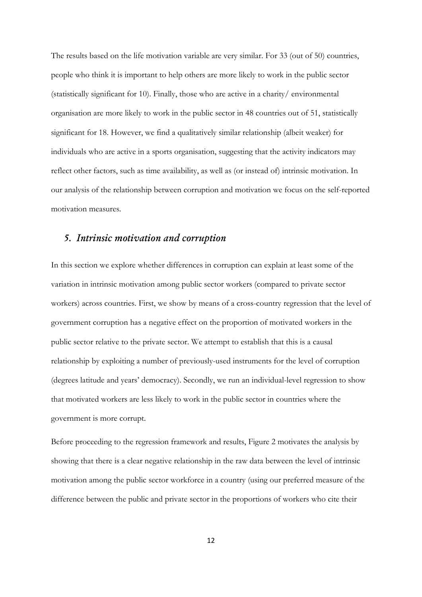The results based on the life motivation variable are very similar. For 33 (out of 50) countries, people who think it is important to help others are more likely to work in the public sector (statistically significant for 10). Finally, those who are active in a charity/ environmental organisation are more likely to work in the public sector in 48 countries out of 51, statistically significant for 18. However, we find a qualitatively similar relationship (albeit weaker) for individuals who are active in a sports organisation, suggesting that the activity indicators may reflect other factors, such as time availability, as well as (or instead of) intrinsic motivation. In our analysis of the relationship between corruption and motivation we focus on the self-reported motivation measures.

# *5. Intrinsic motivation and corruption*

In this section we explore whether differences in corruption can explain at least some of the variation in intrinsic motivation among public sector workers (compared to private sector workers) across countries. First, we show by means of a cross-country regression that the level of government corruption has a negative effect on the proportion of motivated workers in the public sector relative to the private sector. We attempt to establish that this is a causal relationship by exploiting a number of previously-used instruments for the level of corruption (degrees latitude and years' democracy). Secondly, we run an individual-level regression to show that motivated workers are less likely to work in the public sector in countries where the government is more corrupt.

Before proceeding to the regression framework and results, Figure 2 motivates the analysis by showing that there is a clear negative relationship in the raw data between the level of intrinsic motivation among the public sector workforce in a country (using our preferred measure of the difference between the public and private sector in the proportions of workers who cite their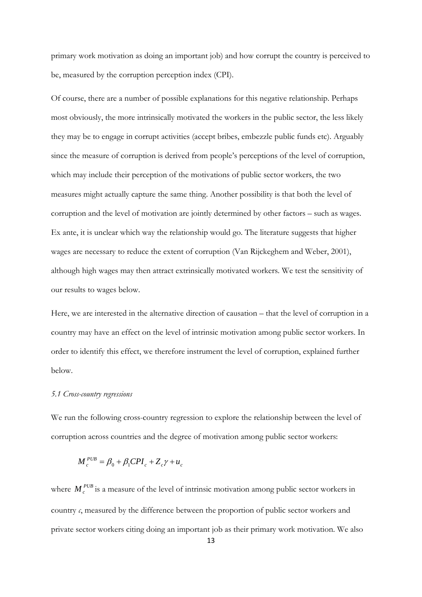primary work motivation as doing an important job) and how corrupt the country is perceived to be, measured by the corruption perception index (CPI).

Of course, there are a number of possible explanations for this negative relationship. Perhaps most obviously, the more intrinsically motivated the workers in the public sector, the less likely they may be to engage in corrupt activities (accept bribes, embezzle public funds etc). Arguably since the measure of corruption is derived from people's perceptions of the level of corruption, which may include their perception of the motivations of public sector workers, the two measures might actually capture the same thing. Another possibility is that both the level of corruption and the level of motivation are jointly determined by other factors – such as wages. Ex ante, it is unclear which way the relationship would go. The literature suggests that higher wages are necessary to reduce the extent of corruption (Van Rijckeghem and Weber, 2001), although high wages may then attract extrinsically motivated workers. We test the sensitivity of our results to wages below.

Here, we are interested in the alternative direction of causation – that the level of corruption in a country may have an effect on the level of intrinsic motivation among public sector workers. In order to identify this effect, we therefore instrument the level of corruption, explained further below.

#### *5.1 Cross-country regressions*

We run the following cross-country regression to explore the relationship between the level of corruption across countries and the degree of motivation among public sector workers:

$$
M_c^{PUB} = \beta_0 + \beta_1 CPI_c + Z_c \gamma + u_c
$$

where  $M_c^{PUB}$  is a measure of the level of intrinsic motivation among public sector workers in country *c*, measured by the difference between the proportion of public sector workers and private sector workers citing doing an important job as their primary work motivation. We also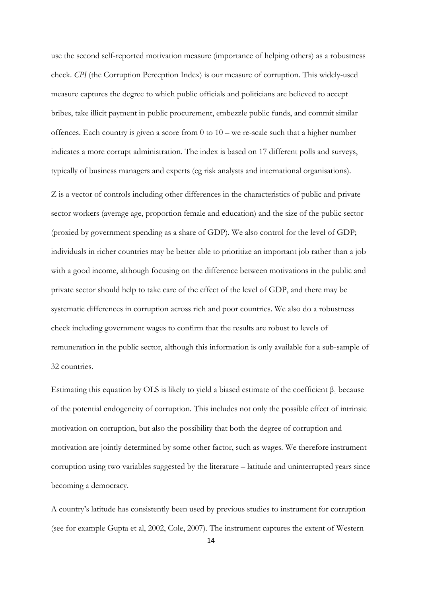use the second self-reported motivation measure (importance of helping others) as a robustness check. *CPI* (the Corruption Perception Index) is our measure of corruption. This widely-used measure captures the degree to which public officials and politicians are believed to accept bribes, take illicit payment in public procurement, embezzle public funds, and commit similar offences. Each country is given a score from 0 to 10 – we re-scale such that a higher number indicates a more corrupt administration. The index is based on 17 different polls and surveys, typically of business managers and experts (eg risk analysts and international organisations).

Z is a vector of controls including other differences in the characteristics of public and private sector workers (average age, proportion female and education) and the size of the public sector (proxied by government spending as a share of GDP). We also control for the level of GDP; individuals in richer countries may be better able to prioritize an important job rather than a job with a good income, although focusing on the difference between motivations in the public and private sector should help to take care of the effect of the level of GDP, and there may be systematic differences in corruption across rich and poor countries. We also do a robustness check including government wages to confirm that the results are robust to levels of remuneration in the public sector, although this information is only available for a sub-sample of 32 countries.

Estimating this equation by OLS is likely to yield a biased estimate of the coefficient  $\beta_1$  because of the potential endogeneity of corruption. This includes not only the possible effect of intrinsic motivation on corruption, but also the possibility that both the degree of corruption and motivation are jointly determined by some other factor, such as wages. We therefore instrument corruption using two variables suggested by the literature – latitude and uninterrupted years since becoming a democracy.

A country's latitude has consistently been used by previous studies to instrument for corruption (see for example Gupta et al, 2002, Cole, 2007). The instrument captures the extent of Western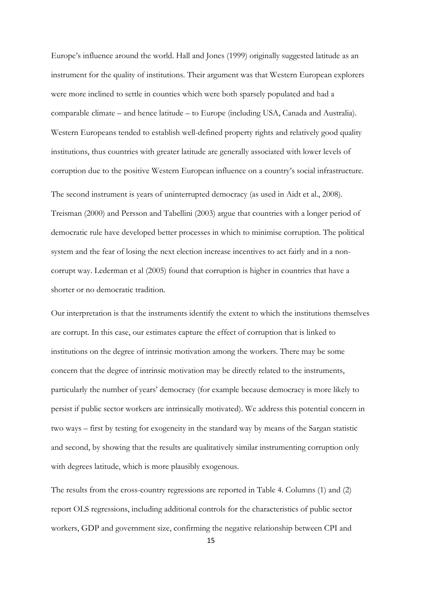Europe's influence around the world. Hall and Jones (1999) originally suggested latitude as an instrument for the quality of institutions. Their argument was that Western European explorers were more inclined to settle in counties which were both sparsely populated and had a comparable climate – and hence latitude – to Europe (including USA, Canada and Australia). Western Europeans tended to establish well-defined property rights and relatively good quality institutions, thus countries with greater latitude are generally associated with lower levels of corruption due to the positive Western European influence on a country's social infrastructure. The second instrument is years of uninterrupted democracy (as used in Aidt et al., 2008). Treisman (2000) and Persson and Tabellini (2003) argue that countries with a longer period of democratic rule have developed better processes in which to minimise corruption. The political system and the fear of losing the next election increase incentives to act fairly and in a noncorrupt way. Lederman et al (2005) found that corruption is higher in countries that have a shorter or no democratic tradition.

Our interpretation is that the instruments identify the extent to which the institutions themselves are corrupt. In this case, our estimates capture the effect of corruption that is linked to institutions on the degree of intrinsic motivation among the workers. There may be some concern that the degree of intrinsic motivation may be directly related to the instruments, particularly the number of years' democracy (for example because democracy is more likely to persist if public sector workers are intrinsically motivated). We address this potential concern in two ways – first by testing for exogeneity in the standard way by means of the Sargan statistic and second, by showing that the results are qualitatively similar instrumenting corruption only with degrees latitude, which is more plausibly exogenous.

The results from the cross-country regressions are reported in Table 4. Columns (1) and (2) report OLS regressions, including additional controls for the characteristics of public sector workers, GDP and government size, confirming the negative relationship between CPI and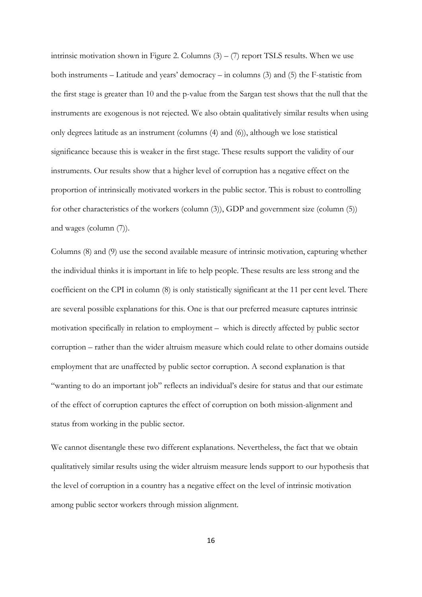intrinsic motivation shown in Figure 2. Columns  $(3) - (7)$  report TSLS results. When we use both instruments  $-$  Latitude and years' democracy  $-$  in columns (3) and (5) the F-statistic from the first stage is greater than 10 and the p-value from the Sargan test shows that the null that the instruments are exogenous is not rejected. We also obtain qualitatively similar results when using only degrees latitude as an instrument (columns (4) and (6)), although we lose statistical significance because this is weaker in the first stage. These results support the validity of our instruments. Our results show that a higher level of corruption has a negative effect on the proportion of intrinsically motivated workers in the public sector. This is robust to controlling for other characteristics of the workers (column (3)), GDP and government size (column (5)) and wages (column (7)).

Columns (8) and (9) use the second available measure of intrinsic motivation, capturing whether the individual thinks it is important in life to help people. These results are less strong and the coefficient on the CPI in column (8) is only statistically significant at the 11 per cent level. There are several possible explanations for this. One is that our preferred measure captures intrinsic motivation specifically in relation to employment – which is directly affected by public sector corruption – rather than the wider altruism measure which could relate to other domains outside employment that are unaffected by public sector corruption. A second explanation is that "wanting to do an important job" reflects an individual's desire for status and that our estimate of the effect of corruption captures the effect of corruption on both mission-alignment and status from working in the public sector.

We cannot disentangle these two different explanations. Nevertheless, the fact that we obtain qualitatively similar results using the wider altruism measure lends support to our hypothesis that the level of corruption in a country has a negative effect on the level of intrinsic motivation among public sector workers through mission alignment.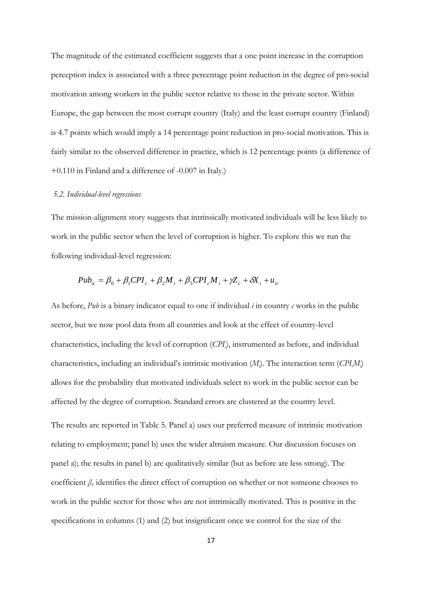The magnitude of the estimated coefficient suggests that a one point increase in the corruption perception index is associated with a three percentage point reduction in the degree of pro-social motivation among workers in the public sector relative to those in the private sector. Within Europe, the gap between the most corrupt country (Italy) and the least corrupt country (Finland) is 4.7 points which would imply a 14 percentage point reduction in pro-social motivation. This is fairly similar to the observed difference in practice, which is 12 percentage points (a difference of +0.110 in Finland and a difference of -0.007 in Italy.)

#### *5.2. Individual-level regressions*

The mission-alignment story suggests that intrinsically motivated individuals will be less likely to work in the public sector when the level of corruption is higher. To explore this we run the following individual-level regression:

$$
Pubic = β0 + β1CPUc + β2Mi + β3CPUcMi + γZc + δXi + uic
$$

As before, *Pub* is a binary indicator equal to one if individual *i* in country *c* works in the public sector, but we now pool data from all countries and look at the effect of country-level characteristics, including the level of corruption (CPI), instrumented as before, and individual characteristics, including an individual's intrinsic motivation (*M*<sub>i</sub>). The interaction term (*CPI<sub>i</sub>M*<sub>i</sub>) allows for the probability that motivated individuals select to work in the public sector can be affected by the degree of corruption. Standard errors are clustered at the country level.

The results are reported in Table 5. Panel a) uses our preferred measure of intrinsic motivation relating to employment; panel b) uses the wider altruism measure. Our discussion focuses on panel a); the results in panel b) are qualitatively similar (but as before are less strong). The coefficient  $\beta$ <sup>*f*</sup> identifies the direct effect of corruption on whether or not someone chooses to work in the public sector for those who are not intrinsically motivated. This is positive in the specifications in columns (1) and (2) but insignificant once we control for the size of the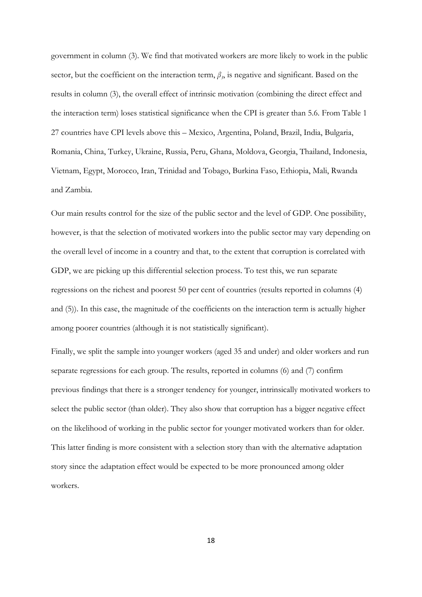government in column (3). We find that motivated workers are more likely to work in the public sector, but the coefficient on the interaction term,  $\beta_3$  is negative and significant. Based on the results in column (3), the overall effect of intrinsic motivation (combining the direct effect and the interaction term) loses statistical significance when the CPI is greater than 5.6. From Table 1 27 countries have CPI levels above this – Mexico, Argentina, Poland, Brazil, India, Bulgaria, Romania, China, Turkey, Ukraine, Russia, Peru, Ghana, Moldova, Georgia, Thailand, Indonesia, Vietnam, Egypt, Morocco, Iran, Trinidad and Tobago, Burkina Faso, Ethiopia, Mali, Rwanda and Zambia.

Our main results control for the size of the public sector and the level of GDP. One possibility, however, is that the selection of motivated workers into the public sector may vary depending on the overall level of income in a country and that, to the extent that corruption is correlated with GDP, we are picking up this differential selection process. To test this, we run separate regressions on the richest and poorest 50 per cent of countries (results reported in columns (4) and (5)). In this case, the magnitude of the coefficients on the interaction term is actually higher among poorer countries (although it is not statistically significant).

Finally, we split the sample into younger workers (aged 35 and under) and older workers and run separate regressions for each group. The results, reported in columns (6) and (7) confirm previous findings that there is a stronger tendency for younger, intrinsically motivated workers to select the public sector (than older). They also show that corruption has a bigger negative effect on the likelihood of working in the public sector for younger motivated workers than for older. This latter finding is more consistent with a selection story than with the alternative adaptation story since the adaptation effect would be expected to be more pronounced among older workers.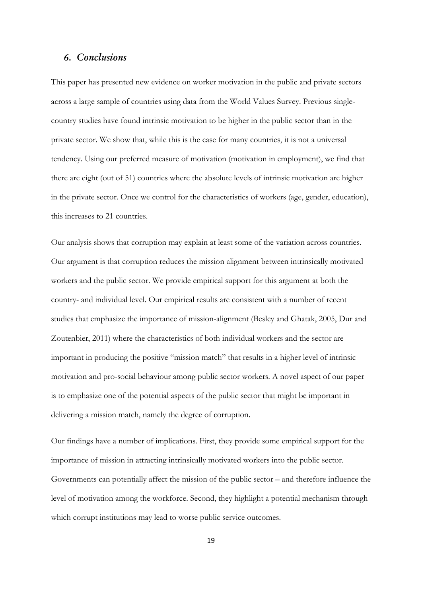# *6. Conclusions*

This paper has presented new evidence on worker motivation in the public and private sectors across a large sample of countries using data from the World Values Survey. Previous singlecountry studies have found intrinsic motivation to be higher in the public sector than in the private sector. We show that, while this is the case for many countries, it is not a universal tendency. Using our preferred measure of motivation (motivation in employment), we find that there are eight (out of 51) countries where the absolute levels of intrinsic motivation are higher in the private sector. Once we control for the characteristics of workers (age, gender, education), this increases to 21 countries.

Our analysis shows that corruption may explain at least some of the variation across countries. Our argument is that corruption reduces the mission alignment between intrinsically motivated workers and the public sector. We provide empirical support for this argument at both the country- and individual level. Our empirical results are consistent with a number of recent studies that emphasize the importance of mission-alignment (Besley and Ghatak, 2005, Dur and Zoutenbier, 2011) where the characteristics of both individual workers and the sector are important in producing the positive "mission match" that results in a higher level of intrinsic motivation and pro-social behaviour among public sector workers. A novel aspect of our paper is to emphasize one of the potential aspects of the public sector that might be important in delivering a mission match, namely the degree of corruption.

Our findings have a number of implications. First, they provide some empirical support for the importance of mission in attracting intrinsically motivated workers into the public sector. Governments can potentially affect the mission of the public sector – and therefore influence the level of motivation among the workforce. Second, they highlight a potential mechanism through which corrupt institutions may lead to worse public service outcomes.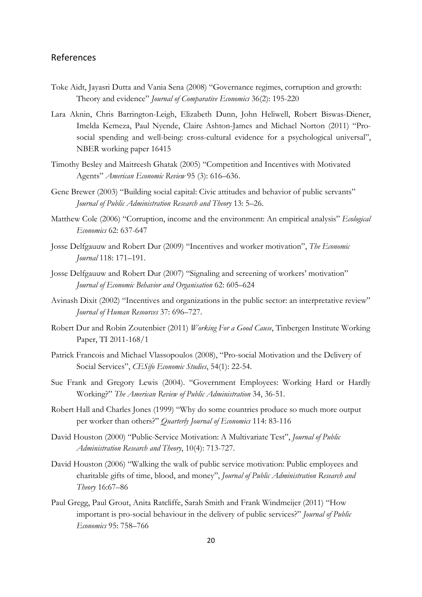## References

- Toke Aidt, Jayasri Dutta and Vania Sena (2008) ["Governance regimes, corruption and growth:](http://ideas.repec.org/a/eee/jcecon/v36y2008i2p195-220.html)  [Theory and evidence"](http://ideas.repec.org/a/eee/jcecon/v36y2008i2p195-220.html) *[Journal of Comparative Economics](http://ideas.repec.org/s/eee/jcecon.html)* 36(2): 195-220
- Lara Aknin, Chris Barrington-Leigh, Elizabeth Dunn, John Heliwell, Robert Biswas-Diener, Imelda Kemeza, Paul Nyende, Claire Ashton-James and Michael Norton (2011) "Prosocial spending and well-being: cross-cultural evidence for a psychological universal", NBER working paper 16415
- Timothy Besley and Maitreesh Ghatak (2005) "Competition and Incentives with Motivated Agents" *American Economic Review* 95 (3): 616–636.
- Gene Brewer (2003) "Building social capital: Civic attitudes and behavior of public servants" *Journal of Public Administration Research and Theory* 13: 5–26.
- Matthew Cole (2006) "Corruption, income and the environment: An empirical analysis" *Ecological Economics* 62: 637-647
- Josse Delfgauuw and Robert Dur (2009) "Incentives and worker motivation", *The Economic Journal* 118: 171–191.
- Josse Delfgauuw and Robert Dur (2007) "Signaling and screening of workers' motivation" *Journal of Economic Behavior and Organisation* 62: 605–624
- Avinash Dixit (2002) "Incentives and organizations in the public sector: an interpretative review" *Journal of Human Resources* 37: 696–727.
- Robert Dur and Robin Zoutenbier (2011) *Working For a Good Cause*, Tinbergen Institute Working Paper, TI 2011-168/1
- Patrick Francois and Michael Vlassopoulos (2008), "Pro-social Motivation and the Delivery of Social Services", *CESifo Economic Studies*, 54(1): 22-54.
- Sue Frank and Gregory Lewis (2004). "Government Employees: Working Hard or Hardly Working?" *The American Review of Public Administration* 34, 36-51.
- Robert Hall and Charles Jones (1999) "Why do some countries produce so much more output per worker than others?" *Quarterly Journal of Economics* 114: 83-116
- David Houston (2000) "Public-Service Motivation: A Multivariate Test", *Journal of Public Administration Research and Theory*, 10(4): 713-727.
- David Houston (2006) "Walking the walk of public service motivation: Public employees and charitable gifts of time, blood, and money", *Journal of Public Administration Research and Theory* 16:67–86
- Paul Gregg, Paul Grout, Anita Ratcliffe, Sarah Smith and Frank Windmeijer (2011) "How important is pro-social behaviour in the delivery of public services?" *Journal of Public Economics* 95: 758–766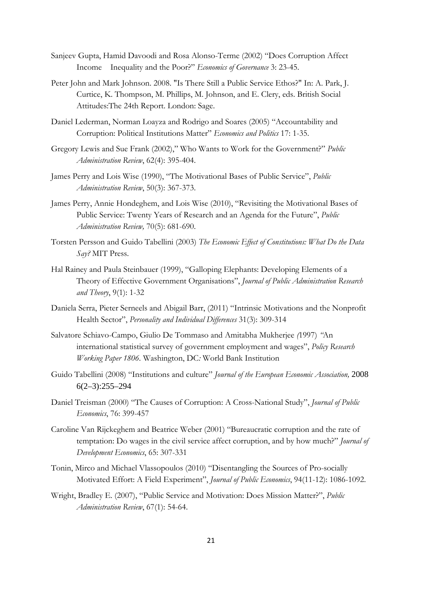- Sanjeev Gupta, Hamid Davoodi and Rosa Alonso-Terme (2002) "Does Corruption Affect Income Inequality and the Poor?" *Economics of Governance* 3: 23-45.
- Peter John and Mark Johnson. 2008. "Is There Still a Public Service Ethos?" In: A. Park, J. Curtice, K. Thompson, M. Phillips, M. Johnson, and E. Clery, eds. British Social Attitudes:The 24th Report. London: Sage.
- Daniel Lederman, Norman Loayza and Rodrigo and Soares (2005) "Accountability and Corruption: Political Institutions Matter" *Economics and Politics* 17: 1-35.
- Gregory Lewis and Sue Frank (2002)," Who Wants to Work for the Government?" *Public Administration Review*, 62(4): 395-404.
- James Perry and Lois Wise (1990), "The Motivational Bases of Public Service", *Public Administration Review*, 50(3): 367-373.
- James Perry, Annie Hondeghem, and Lois Wise (2010), "Revisiting the Motivational Bases of Public Service: Twenty Years of Research and an Agenda for the Future", *Public Administration Review,* 70(5): 681-690.
- Torsten Persson and Guido Tabellini (2003) *The Economic Effect of Constitutions: What Do the Data Say?* MIT Press.
- Hal Rainey and Paula Steinbauer (1999), "Galloping Elephants: Developing Elements of a Theory of Effective Government Organisations", *Journal of Public Administration Research and Theory*, 9(1): 1-32
- Daniela Serra, Pieter Serneels and Abigail Barr, (2011) "Intrinsic Motivations and the Nonprofit Health Sector", *Personality and Individual Differences* 31(3): 309-314
- Salvatore Schiavo-Campo, Giulio De Tommaso and Amitabha Mukherjee *(*1997) *"*An international statistical survey of government employment and wages", *Policy Research Working Paper 1806.* Washington, DC*:* World Bank Institution
- Guido Tabellini (2008) "Institutions and culture" *Journal of the European Economic Association,* 2008 6(2–3):255–294
- Daniel Treisman (2000) "The Causes of Corruption: A Cross-National Study", *Journal of Public Economics*, 76: 399-457
- Caroline Van Rijckeghem and Beatrice Weber (2001) "Bureaucratic corruption and the rate of temptation: Do wages in the civil service affect corruption, and by how much?" *Journal of Development Economics*, 65: 307-331
- Tonin, Mirco and Michael Vlassopoulos (2010) "Disentangling the Sources of Pro-socially Motivated Effort: A Field Experiment", *Journal of Public Economics*, 94(11-12): 1086-1092.
- Wright, Bradley E. (2007), "Public Service and Motivation: Does Mission Matter?", *Public Administration Review*, 67(1): 54-64.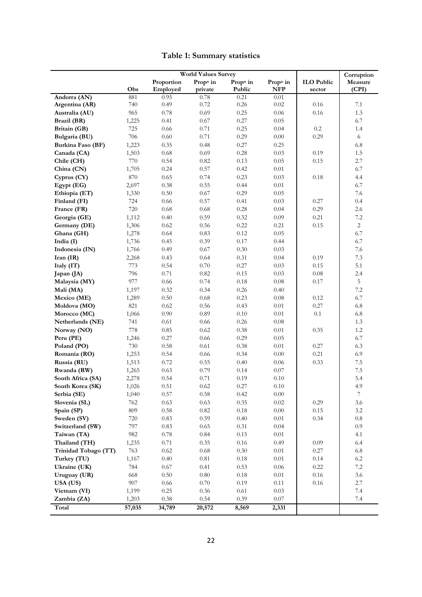# **Table 1: Summary statistics**

| <b>World Values Survey</b><br>Corruption |        |            |                      |                      |             |                   |                |  |
|------------------------------------------|--------|------------|----------------------|----------------------|-------------|-------------------|----------------|--|
|                                          |        | Proportion | Prop <sup>n</sup> in | Prop <sup>n</sup> in | Prop $n$ in | <b>ILO Public</b> | Measure        |  |
|                                          | Obs    | Employed   | private              | Public               | <b>NFP</b>  | sector            | (CPI)          |  |
| Andorra (AN)                             | 881    | 0.95       | 0.78                 | 0.21                 | 0.01        |                   |                |  |
| Argentina (AR)                           | 740    | 0.49       | 0.72                 | $0.26\,$             | 0.02        | 0.16              | 7.1            |  |
| Australia (AU)                           | 965    | 0.78       | 0.69                 | 0.25                 | 0.06        | 0.16              | 1.3            |  |
| Brazil (BR)                              | 1,225  | 0.41       | 0.67                 | 0.27                 | 0.05        |                   | 6.7            |  |
| Britain (GB)                             | 725    | 0.66       | 0.71                 | 0.25                 | 0.04        | 0.2               | 1.4            |  |
| Bulgaria (BU)                            | 706    | 0.60       | 0.71                 | 0.29                 | 0.00        | 0.29              | 6              |  |
| Burkina Faso (BF)                        | 1,223  | 0.35       | 0.48                 | 0.27                 | 0.25        |                   | 6.8            |  |
| Canada (CA)                              | 1,503  | 0.68       | 0.69                 | 0.28                 | 0.03        | 0.19              | $1.5\,$        |  |
| Chile (CH)                               | 770    | 0.54       | 0.82                 | 0.13                 | 0.05        | 0.15              | 2.7            |  |
| China (CN)                               | 1,705  | 0.24       | 0.57                 | 0.42                 | $0.01\,$    |                   | 6.7            |  |
| Cyprus (CY)                              | 870    | 0.65       | 0.74                 | 0.23                 | 0.03        | 0.18              | 4.4            |  |
| Egypt (EG)                               | 2,697  | 0.38       | 0.55                 | 0.44                 | $0.01\,$    |                   | 6.7            |  |
| Ethiopia (ET)                            | 1,330  | 0.50       | 0.67                 | 0.29                 | 0.05        |                   | 7.6            |  |
| Finland (FI)                             | 724    | 0.66       | 0.57                 | 0.41                 | 0.03        | 0.27              | 0.4            |  |
| France (FR)                              | 720    | 0.68       | 0.68                 | 0.28                 | 0.04        | 0.29              | 2.6            |  |
| Georgia (GE)                             | 1,112  | 0.40       | 0.59                 | 0.32                 | 0.09        | 0.21              | 7.2            |  |
| Germany (DE)                             | 1,306  | 0.62       | 0.56                 | 0.22                 | 0.21        | 0.15              | $\overline{c}$ |  |
| Ghana (GH)                               | 1,278  | 0.64       | 0.83                 | 0.12                 | 0.05        |                   | 6.7            |  |
| India (I)                                | 1,736  | 0.45       | 0.39                 | 0.17                 | 0.44        |                   | 6.7            |  |
| Indonesia (IN)                           | 1,766  | 0.49       | 0.67                 | 0.30                 | 0.03        |                   | 7.6            |  |
| Iran (IR)                                | 2,268  | 0.43       | 0.64                 | 0.31                 | 0.04        | 0.19              | 7.3            |  |
| Italy (IT)                               | 773    | 0.54       | 0.70                 | 0.27                 | 0.03        | 0.15              | 5.1            |  |
| Japan (JA)                               | 796    | 0.71       | 0.82                 | 0.15                 | 0.03        | 0.08              | 2.4            |  |
| Malaysia (MY)                            | 977    | 0.66       | 0.74                 | $0.18\,$             | $0.08\,$    | 0.17              | 5              |  |
| Mali (MA)                                | 1,197  | 0.32       | 0.34                 | 0.26                 | 0.40        |                   | 7.2            |  |
| Mexico (ME)                              | 1,289  | 0.50       | 0.68                 | 0.23                 | 0.08        | 0.12              | 6.7            |  |
| Moldova (MO)                             | 821    | 0.62       | 0.56                 | 0.43                 | 0.01        | 0.27              | 6.8            |  |
| Morocco (MC)                             | 1,066  | 0.90       | 0.89                 | $0.10\,$             | $0.01\,$    | 0.1               | 6.8            |  |
| Netherlands (NE)                         | 741    | 0.61       | 0.66                 | 0.26                 | $0.08\,$    |                   | 1.3            |  |
| Norway (NO)                              | 778    | 0.85       | 0.62                 | 0.38                 | $0.01\,$    | 0.35              | 1.2            |  |
| Peru (PE)                                | 1,246  | 0.27       | 0.66                 | 0.29                 | 0.05        |                   | 6.7            |  |
| Poland (PO)                              | 730    | 0.58       | 0.61                 | 0.38                 | $0.01\,$    | 0.27              | 6.3            |  |
| Romania (RO)                             | 1,253  | 0.54       | 0.66                 | 0.34                 | $0.00\,$    | 0.21              | 6.9            |  |
| Russia (RU)                              | 1,513  | 0.72       | 0.55                 | 0.40                 | 0.06        | 0.33              | $7.5\,$        |  |
| Rwanda (RW)                              | 1,265  | 0.63       | 0.79                 | 0.14                 | $0.07\,$    |                   | 7.5            |  |
| South Africa (SA)                        | 2,278  | 0.54       | 0.71                 | 0.19                 | 0.10        |                   | 5.4            |  |
| South Korea (SK)                         | 1,026  | 0.51       | 0.62                 | 0.27                 | 0.10        |                   | 4.9            |  |
| Serbia (SE)                              | 1,040  | $0.57\,$   | $0.58\,$             | 0.42                 | $0.00\,$    |                   | 7              |  |
| Slovenia (SL)                            | 762    | 0.63       | 0.63                 | 0.35                 | $0.02\,$    | 0.29              | 3.6            |  |
| Spain (SP)                               | 809    | 0.58       | 0.82                 | $0.18\,$             | $0.00\,$    | 0.15              | $3.2\,$        |  |
| Sweden (SV)                              | 720    | 0.83       | 0.59                 | 0.40                 | $0.01\,$    | 0.34              | $0.8\,$        |  |
| Switzerland (SW)                         | 797    | 0.83       | 0.65                 | 0.31                 | 0.04        |                   | 0.9            |  |
| Taiwan (TA)                              | 982    | 0.78       | 0.84                 | 0.15                 | $0.01\,$    |                   | 4.1            |  |
| Thailand (TH)                            | 1,235  | 0.71       | 0.35                 | 0.16                 | 0.49        | 0.09              | 6.4            |  |
| Trinidad Tobago (TT)                     | 763    | 0.62       | $0.68\,$             | $0.30\,$             | $0.01\,$    | 0.27              | 6.8            |  |
| Turkey (TU)                              | 1,167  | 0.40       | $0.81\,$             | 0.18                 | $0.01\,$    | 0.14              | $6.2\,$        |  |
| Ukraine (UK)                             | 784    | 0.67       | 0.41                 | 0.53                 | $0.06\,$    | 0.22              | $7.2\,$        |  |
| Uruguay (UR)                             | 668    | 0.50       | $0.80\,$             | $0.18\,$             | $0.01\,$    | $0.16\,$          | $3.6\,$        |  |
| USA (US)                                 | 907    | 0.66       | $0.70\,$             | 0.19                 | 0.11        | 0.16              | 2.7            |  |
| Vietnam (VI)                             | 1,199  | 0.25       | $0.36\,$             | 0.61                 | 0.03        |                   | 7.4            |  |
| Zambia (ZA)                              | 1,203  | 0.38       | 0.54                 | 0.39                 | $0.07\,$    |                   | 7.4            |  |
| Total                                    | 57,035 | 34,789     | 20,572               | 8,569                | 2,331       |                   |                |  |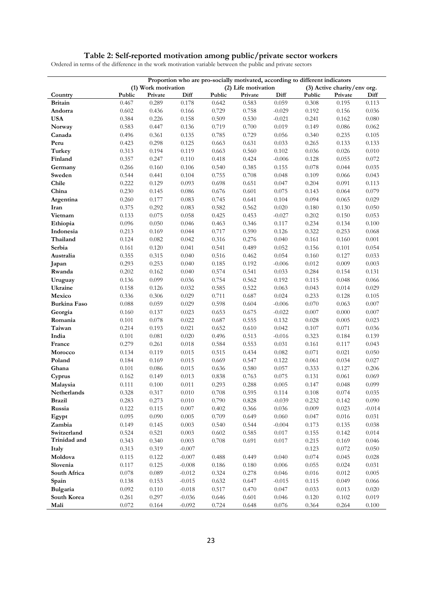#### **Table 2: Self-reported motivation among public/private sector workers**

Ordered in terms of the difference in the work motivation variable between the public and private sectors

|                     | Proportion who are pro-socially motivated, according to different indicators |         |           |        |                     |          |                             |         |          |  |
|---------------------|------------------------------------------------------------------------------|---------|-----------|--------|---------------------|----------|-----------------------------|---------|----------|--|
|                     | (1) Work motivation                                                          |         |           |        | (2) Life motivation |          | (3) Active charity/env org. |         |          |  |
| Country             | Public                                                                       | Private | Diff      | Public | Private             | Diff     | Public                      | Private | Diff     |  |
| <b>Britain</b>      | 0.467                                                                        | 0.289   | 0.178     | 0.642  | 0.583               | 0.059    | 0.308                       | 0.195   | 0.113    |  |
| Andorra             | 0.602                                                                        | 0.436   | 0.166     | 0.729  | 0.758               | $-0.029$ | 0.192                       | 0.156   | 0.036    |  |
| <b>USA</b>          | 0.384                                                                        | 0.226   | 0.158     | 0.509  | 0.530               | $-0.021$ | 0.241                       | 0.162   | 0.080    |  |
| Norway              | 0.583                                                                        | 0.447   | 0.136     | 0.719  | 0.700               | 0.019    | 0.149                       | 0.086   | 0.062    |  |
| Canada              | 0.496                                                                        | 0.361   | 0.135     | 0.785  | 0.729               | 0.056    | 0.340                       | 0.235   | 0.105    |  |
| Peru                | 0.423                                                                        | 0.298   | 0.125     | 0.663  | 0.631               | 0.033    | 0.265                       | 0.133   | 0.133    |  |
| Turkey              | 0.313                                                                        | 0.194   | 0.119     | 0.663  | 0.560               | 0.102    | 0.036                       | 0.026   | 0.010    |  |
| Finland             | 0.357                                                                        | 0.247   | 0.110     | 0.418  | 0.424               | $-0.006$ | 0.128                       | 0.055   | 0.072    |  |
| Germany             | 0.266                                                                        | 0.160   | 0.106     | 0.540  | 0.385               | 0.155    | 0.078                       | 0.044   | 0.035    |  |
| Sweden              | 0.544                                                                        | 0.441   | 0.104     | 0.755  | 0.708               | 0.048    | 0.109                       | 0.066   | 0.043    |  |
| Chile               | 0.222                                                                        | 0.129   | 0.093     | 0.698  | 0.651               | 0.047    | 0.204                       | 0.091   | 0.113    |  |
| China               | 0.230                                                                        | 0.145   | 0.086     | 0.676  | 0.601               | 0.075    | 0.143                       | 0.064   | 0.079    |  |
| Argentina           | 0.260                                                                        | 0.177   | 0.083     | 0.745  | 0.641               | 0.104    | 0.094                       | 0.065   | 0.029    |  |
| Iran                | 0.375                                                                        | 0.292   | 0.083     | 0.582  | 0.562               | 0.020    | 0.180                       | 0.130   | 0.050    |  |
| Vietnam             | 0.133                                                                        | 0.075   | 0.058     | 0.425  | 0.453               | $-0.027$ | 0.202                       | 0.150   | 0.053    |  |
| Ethiopia            | 0.096                                                                        | 0.050   | 0.046     | 0.463  | 0.346               | 0.117    | 0.234                       | 0.134   | 0.100    |  |
| Indonesia           | 0.213                                                                        | 0.169   | 0.044     | 0.717  | 0.590               | 0.126    | 0.322                       | 0.253   | 0.068    |  |
| Thailand            | 0.124                                                                        | 0.082   | 0.042     | 0.316  | 0.276               | 0.040    | 0.161                       | 0.160   | 0.001    |  |
| Serbia              | 0.161                                                                        | 0.120   | 0.041     | 0.541  | 0.489               | 0.052    | 0.156                       | 0.101   | 0.054    |  |
| Australia           | 0.355                                                                        | 0.315   | 0.040     | 0.516  | 0.462               | 0.054    | 0.160                       | 0.127   | 0.033    |  |
| Japan               | 0.293                                                                        | 0.253   | 0.040     | 0.185  | 0.192               | $-0.006$ | 0.012                       | 0.009   | 0.003    |  |
| Rwanda              | 0.202                                                                        | 0.162   | 0.040     | 0.574  | 0.541               | 0.033    | 0.284                       | 0.154   | 0.131    |  |
| Uruguay             | 0.136                                                                        | 0.099   | 0.036     | 0.754  | 0.562               | 0.192    | 0.115                       | 0.048   | 0.066    |  |
| Ukraine             | 0.158                                                                        | 0.126   | 0.032     | 0.585  | 0.522               | 0.063    | 0.043                       | 0.014   | 0.029    |  |
| Mexico              | 0.336                                                                        | 0.306   | 0.029     | 0.711  | 0.687               | 0.024    | 0.233                       | 0.128   | 0.105    |  |
| <b>Burkina Faso</b> | 0.088                                                                        | 0.059   | 0.029     | 0.598  | 0.604               | $-0.006$ | 0.070                       | 0.063   | 0.007    |  |
| Georgia             | 0.160                                                                        | 0.137   | 0.023     | 0.653  | 0.675               | $-0.022$ | 0.007                       | 0.000   | 0.007    |  |
| Romania             | 0.101                                                                        | 0.078   | 0.022     | 0.687  | 0.555               | 0.132    | 0.028                       | 0.005   | 0.023    |  |
| Taiwan              | 0.214                                                                        | 0.193   | 0.021     | 0.652  | 0.610               | 0.042    | 0.107                       | 0.071   | 0.036    |  |
| India               | 0.101                                                                        | 0.081   | 0.020     | 0.496  | 0.513               | $-0.016$ | 0.323                       | 0.184   | 0.139    |  |
| France              | 0.279                                                                        | 0.261   | 0.018     | 0.584  | 0.553               | 0.031    | 0.161                       | 0.117   | 0.043    |  |
| Morocco             | 0.134                                                                        | 0.119   | 0.015     | 0.515  | 0.434               | 0.082    | 0.071                       | 0.021   | 0.050    |  |
| Poland              | 0.184                                                                        | 0.169   | 0.015     | 0.669  | 0.547               | 0.122    | 0.061                       | 0.034   | 0.027    |  |
| Ghana               | 0.101                                                                        | 0.086   | 0.015     | 0.636  | 0.580               | 0.057    | 0.333                       | 0.127   | 0.206    |  |
| Cyprus              | 0.162                                                                        | 0.149   | 0.013     | 0.838  | 0.763               | 0.075    | 0.131                       | 0.061   | 0.069    |  |
| Malaysia            | 0.111                                                                        | 0.100   | 0.011     | 0.293  | 0.288               | 0.005    | 0.147                       | 0.048   | 0.099    |  |
| Netherlands         | 0.328                                                                        | 0.317   | 0.010     | 0.708  | 0.595               | 0.114    | $0.108\,$                   | 0.074   | 0.035    |  |
| <b>Brazil</b>       | 0.283                                                                        | 0.273   | $0.010\,$ | 0.790  | 0.828               | $-0.039$ | 0.232                       | 0.142   | 0.090    |  |
| Russia              | 0.122                                                                        | 0.115   | $0.007\,$ | 0.402  | 0.366               | 0.036    | 0.009                       | 0.023   | $-0.014$ |  |
| Egypt               | 0.095                                                                        | 0.090   | 0.005     | 0.709  | 0.649               | 0.060    | 0.047                       | 0.016   | 0.031    |  |
| Zambia              | 0.149                                                                        | 0.145   | 0.003     | 0.540  | 0.544               | $-0.004$ | 0.173                       | 0.135   | 0.038    |  |
| Switzerland         | 0.524                                                                        | 0.521   | 0.003     | 0.602  | 0.585               | 0.017    | 0.155                       | 0.142   | 0.014    |  |
| Trinidad and        | 0.343                                                                        | 0.340   | 0.003     | 0.708  | 0.691               | 0.017    | 0.215                       | 0.169   | 0.046    |  |
| Italy               | 0.313                                                                        | 0.319   | $-0.007$  |        |                     |          | 0.123                       | 0.072   | 0.050    |  |
| Moldova             | 0.115                                                                        | 0.122   | $-0.007$  | 0.488  | 0.449               | 0.040    | 0.074                       | 0.045   | 0.028    |  |
| Slovenia            | 0.117                                                                        | 0.125   | $-0.008$  | 0.186  | $0.180\,$           | 0.006    | 0.055                       | 0.024   | 0.031    |  |
| South Africa        | 0.078                                                                        | 0.089   | $-0.012$  | 0.324  | 0.278               | 0.046    | 0.016                       | 0.012   | 0.005    |  |
| Spain               | 0.138                                                                        | 0.153   | $-0.015$  | 0.632  | 0.647               | $-0.015$ | 0.115                       | 0.049   | 0.066    |  |
| Bulgaria            | 0.092                                                                        | 0.110   | $-0.018$  | 0.517  | 0.470               | 0.047    | 0.033                       | 0.013   | 0.020    |  |
| South Korea         | 0.261                                                                        | 0.297   | $-0.036$  | 0.646  | 0.601               | 0.046    | 0.120                       | 0.102   | 0.019    |  |
| Mali                | 0.072                                                                        | 0.164   | $-0.092$  | 0.724  | 0.648               | 0.076    | 0.364                       | 0.264   | 0.100    |  |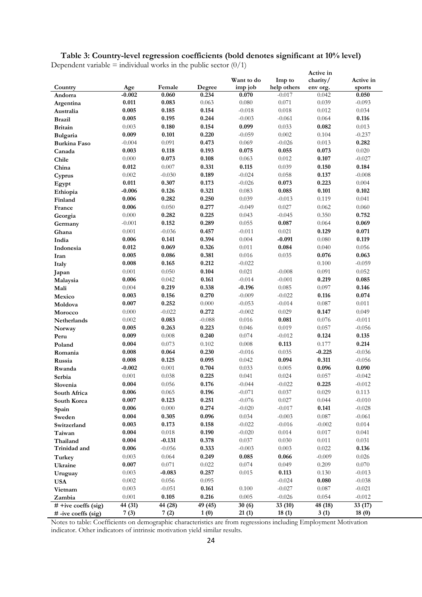# **Table 3: Country-level regression coefficients (bold denotes significant at 10% level)**

Dependent variable = individual works in the public sector  $(0/1)$ 

| Want to do<br>Active in<br>Female<br>imp job<br>help others<br>Country<br>Age<br>Degree<br>sports<br>env org.<br>$-0.002$<br>0.060<br>0.234<br>$-0.017$<br>0.070<br>0.042<br>0.050<br>Andorra<br>0.071<br>0.011<br>0.083<br>0.063<br>0.080<br>0.039<br>$-0.093$<br>Argentina<br>0.005<br>0.185<br>0.154<br>$-0.018$<br>0.018<br>0.012<br>0.034<br>Australia<br>0.064<br>0.005<br>0.195<br>0.244<br>$-0.003$<br>0.116<br>$-0.061$<br><b>Brazil</b><br>0.154<br>0.082<br>0.003<br>0.180<br>0.099<br>0.033<br>0.013<br><b>Britain</b><br>0.009<br>0.101<br>0.220<br>$-0.059$<br>0.002<br>0.104<br>$-0.237$<br>Bulgaria<br>0.282<br>$-0.004$<br>0.091<br>0.473<br>0.069<br>$-0.026$<br>0.013<br><b>Burkina Faso</b><br>0.003<br>0.118<br>0.193<br>0.075<br>0.055<br>0.073<br>0.020<br>Canada<br>0.108<br>0.107<br>0.000<br>0.073<br>0.063<br>0.012<br>$-0.027$<br>Chile<br>0.012<br>0.007<br>0.331<br>0.115<br>0.039<br>0.150<br>0.184<br>China<br>0.189<br>0.002<br>$-0.030$<br>$-0.024$<br>0.058<br>0.137<br>$-0.008$<br>Cyprus<br>0.223<br>0.011<br>0.307<br>0.173<br>$-0.026$<br>0.073<br>0.004<br>Egypt<br>0.101<br>$-0.006$<br>0.126<br>0.321<br>0.083<br>0.085<br>0.102<br>Ethiopia<br>0.006<br>0.282<br>0.250<br>0.039<br>0.119<br>0.041<br>$-0.013$<br>Finland<br>0.006<br>0.050<br>0.277<br>$-0.049$<br>0.027<br>0.062<br>0.060<br>France<br>0.282<br>0.225<br>0.000<br>0.043<br>$-0.045$<br>0.350<br>0.752<br>Georgia<br>$-0.001$<br>0.152<br>0.289<br>0.055<br>0.087<br>0.064<br>0.069<br>Germany<br>0.001<br>0.457<br>$-0.011$<br>0.021<br>0.129<br>0.071<br>$-0.036$<br>Ghana<br>0.394<br>0.006<br>0.141<br>0.004<br>$-0.091$<br>0.080<br>0.119<br>India<br>0.012<br>0.069<br>0.326<br>0.011<br>0.084<br>0.040<br>0.056<br>Indonesia<br>0.005<br>0.381<br>0.086<br>0.016<br>0.035<br>0.076<br>0.063<br>Iran<br>0.008<br>0.165<br>0.212<br>0.100<br>$-0.022$<br>$-0.059$<br>Italy<br>0.104<br>0.001<br>0.050<br>0.021<br>$-0.008$<br>0.091<br>0.052<br>Japan<br>0.006<br>0.042<br>0.161<br>$-0.014$<br>0.219<br>0.085<br>$-0.001$<br>Malaysia<br>0.219<br>0.338<br>0.097<br>0.004<br>$-0.196$<br>0.085<br>0.146<br>Mali<br>0.003<br>0.156<br>0.270<br>$-0.009$<br>$-0.022$<br>0.116<br>0.074<br>Mexico<br>0.252<br>0.007<br>0.000<br>$-0.053$<br>$-0.014$<br>0.087<br>0.011<br>Moldova<br>0.000<br>$-0.022$<br>0.272<br>$-0.002$<br>0.029<br>0.147<br>0.049<br>Morocco<br>0.002<br>0.083<br>$-0.088$<br>0.016<br>0.081<br>0.076<br>$-0.011$<br>Netherlands<br>0.057<br>0.005<br>0.263<br>0.223<br>0.046<br>0.019<br>$-0.056$<br>Norway<br>0.009<br>0.008<br>0.240<br>0.074<br>$-0.012$<br>0.124<br>0.135<br>Peru<br>0.004<br>0.073<br>0.102<br>0.008<br>0.113<br>0.177<br>0.214<br>Poland<br>0.008<br>0.064<br>0.230<br>$-0.016$<br>0.035<br>$-0.225$<br>$-0.036$<br>Romania<br>0.008<br>0.125<br>0.095<br>0.094<br>0.311<br>$-0.056$<br>0.042<br>Russia<br>$-0.002$<br>0.001<br>0.704<br>0.033<br>0.005<br>0.096<br>0.090<br>Rwanda<br>0.001<br>0.225<br>0.041<br>0.038<br>0.024<br>0.057<br>$-0.042$<br>Serbia<br>0.004<br>0.176<br>0.225<br>$-0.012$<br>0.056<br>$-0.044$<br>$-0.022$<br>Slovenia<br>0.029<br>0.006<br>0.065<br>0.196<br>$-0.071$<br>0.037<br>0.113<br>South Africa<br>0.007<br>0.123<br>0.251<br>$-0.076$<br>0.027<br>0.044<br>$-0.010$<br>South Korea<br>0.006<br>$0.000\,$<br>0.274<br>$-0.020$<br>0.141<br>$-0.028$<br>$-0.017$<br>Spain<br>0.004<br>0.305<br>0.096<br>0.034<br>0.087<br>$-0.003$<br>$-0.061$<br>Sweden<br>0.003<br>0.173<br>0.158<br>$-0.022$<br>$-0.016$<br>$-0.002$<br>0.014<br>Switzerland<br>0.004<br>0.190<br>0.018<br>$-0.020$<br>0.014<br>0.017<br>0.041<br>Taiwan<br>0.004<br>$-0.131$<br>0.378<br>0.030<br>0.031<br>0.037<br>0.011<br>Thailand<br>0.006<br>0.333<br>$-0.003$<br>0.003<br>0.022<br>0.136<br>Trinidad and<br>$-0.056$<br>0.249<br>0.085<br>0.003<br>0.064<br>0.066<br>$-0.009$<br>0.026<br>Turkey<br>0.007<br>0.071<br>0.022<br>0.074<br>0.049<br>0.209<br>0.070<br>Ukraine<br>$0.003\,$<br>0.257<br>0.015<br>0.113<br>0.130<br>$-0.013$<br>$-0.083$<br>Uruguay<br>0.095<br>0.080<br>0.002<br>0.056<br>$-0.024$<br>$-0.038$<br><b>USA</b><br>0.161<br>0.003<br>$-0.051$<br>0.100<br>$-0.027$<br>0.087<br>$-0.021$<br>Vietnam<br>0.105<br>0.216<br>0.001<br>0.005<br>$-0.026$<br>0.054<br>$-0.012$<br>Zambia<br>44 (31)<br>49 (45)<br>30(6)<br>48 (18)<br>44 (28)<br>33(10)<br>33(17)<br>$#$ +ive coeffs (sig)<br>7(3)<br>21(1)<br>18(1)<br>3(1)<br>18(0)<br>7(2)<br>1(0)<br>$#$ -ive coeffs (sig) |  |  |        | Active in |  |
|---------------------------------------------------------------------------------------------------------------------------------------------------------------------------------------------------------------------------------------------------------------------------------------------------------------------------------------------------------------------------------------------------------------------------------------------------------------------------------------------------------------------------------------------------------------------------------------------------------------------------------------------------------------------------------------------------------------------------------------------------------------------------------------------------------------------------------------------------------------------------------------------------------------------------------------------------------------------------------------------------------------------------------------------------------------------------------------------------------------------------------------------------------------------------------------------------------------------------------------------------------------------------------------------------------------------------------------------------------------------------------------------------------------------------------------------------------------------------------------------------------------------------------------------------------------------------------------------------------------------------------------------------------------------------------------------------------------------------------------------------------------------------------------------------------------------------------------------------------------------------------------------------------------------------------------------------------------------------------------------------------------------------------------------------------------------------------------------------------------------------------------------------------------------------------------------------------------------------------------------------------------------------------------------------------------------------------------------------------------------------------------------------------------------------------------------------------------------------------------------------------------------------------------------------------------------------------------------------------------------------------------------------------------------------------------------------------------------------------------------------------------------------------------------------------------------------------------------------------------------------------------------------------------------------------------------------------------------------------------------------------------------------------------------------------------------------------------------------------------------------------------------------------------------------------------------------------------------------------------------------------------------------------------------------------------------------------------------------------------------------------------------------------------------------------------------------------------------------------------------------------------------------------------------------------------------------------------------------------------------------------------------------------------------------------------------------------------------------------------------------------------------------------------------------------------------------------------------------------------------------------------------------------------------------------------------------------------------------------------------------------------------------------------------------------------------------------------------------------------------------------------------------------------------------------------------------------------------------------------------------------------------------------------------------------------------------------------------------------------------------------------------------------------------------------------------------------------------------|--|--|--------|-----------|--|
|                                                                                                                                                                                                                                                                                                                                                                                                                                                                                                                                                                                                                                                                                                                                                                                                                                                                                                                                                                                                                                                                                                                                                                                                                                                                                                                                                                                                                                                                                                                                                                                                                                                                                                                                                                                                                                                                                                                                                                                                                                                                                                                                                                                                                                                                                                                                                                                                                                                                                                                                                                                                                                                                                                                                                                                                                                                                                                                                                                                                                                                                                                                                                                                                                                                                                                                                                                                                                                                                                                                                                                                                                                                                                                                                                                                                                                                                                                                                                                                                                                                                                                                                                                                                                                                                                                                                                                                                                                                                           |  |  | Imp to | charity/  |  |
|                                                                                                                                                                                                                                                                                                                                                                                                                                                                                                                                                                                                                                                                                                                                                                                                                                                                                                                                                                                                                                                                                                                                                                                                                                                                                                                                                                                                                                                                                                                                                                                                                                                                                                                                                                                                                                                                                                                                                                                                                                                                                                                                                                                                                                                                                                                                                                                                                                                                                                                                                                                                                                                                                                                                                                                                                                                                                                                                                                                                                                                                                                                                                                                                                                                                                                                                                                                                                                                                                                                                                                                                                                                                                                                                                                                                                                                                                                                                                                                                                                                                                                                                                                                                                                                                                                                                                                                                                                                                           |  |  |        |           |  |
|                                                                                                                                                                                                                                                                                                                                                                                                                                                                                                                                                                                                                                                                                                                                                                                                                                                                                                                                                                                                                                                                                                                                                                                                                                                                                                                                                                                                                                                                                                                                                                                                                                                                                                                                                                                                                                                                                                                                                                                                                                                                                                                                                                                                                                                                                                                                                                                                                                                                                                                                                                                                                                                                                                                                                                                                                                                                                                                                                                                                                                                                                                                                                                                                                                                                                                                                                                                                                                                                                                                                                                                                                                                                                                                                                                                                                                                                                                                                                                                                                                                                                                                                                                                                                                                                                                                                                                                                                                                                           |  |  |        |           |  |
|                                                                                                                                                                                                                                                                                                                                                                                                                                                                                                                                                                                                                                                                                                                                                                                                                                                                                                                                                                                                                                                                                                                                                                                                                                                                                                                                                                                                                                                                                                                                                                                                                                                                                                                                                                                                                                                                                                                                                                                                                                                                                                                                                                                                                                                                                                                                                                                                                                                                                                                                                                                                                                                                                                                                                                                                                                                                                                                                                                                                                                                                                                                                                                                                                                                                                                                                                                                                                                                                                                                                                                                                                                                                                                                                                                                                                                                                                                                                                                                                                                                                                                                                                                                                                                                                                                                                                                                                                                                                           |  |  |        |           |  |
|                                                                                                                                                                                                                                                                                                                                                                                                                                                                                                                                                                                                                                                                                                                                                                                                                                                                                                                                                                                                                                                                                                                                                                                                                                                                                                                                                                                                                                                                                                                                                                                                                                                                                                                                                                                                                                                                                                                                                                                                                                                                                                                                                                                                                                                                                                                                                                                                                                                                                                                                                                                                                                                                                                                                                                                                                                                                                                                                                                                                                                                                                                                                                                                                                                                                                                                                                                                                                                                                                                                                                                                                                                                                                                                                                                                                                                                                                                                                                                                                                                                                                                                                                                                                                                                                                                                                                                                                                                                                           |  |  |        |           |  |
|                                                                                                                                                                                                                                                                                                                                                                                                                                                                                                                                                                                                                                                                                                                                                                                                                                                                                                                                                                                                                                                                                                                                                                                                                                                                                                                                                                                                                                                                                                                                                                                                                                                                                                                                                                                                                                                                                                                                                                                                                                                                                                                                                                                                                                                                                                                                                                                                                                                                                                                                                                                                                                                                                                                                                                                                                                                                                                                                                                                                                                                                                                                                                                                                                                                                                                                                                                                                                                                                                                                                                                                                                                                                                                                                                                                                                                                                                                                                                                                                                                                                                                                                                                                                                                                                                                                                                                                                                                                                           |  |  |        |           |  |
|                                                                                                                                                                                                                                                                                                                                                                                                                                                                                                                                                                                                                                                                                                                                                                                                                                                                                                                                                                                                                                                                                                                                                                                                                                                                                                                                                                                                                                                                                                                                                                                                                                                                                                                                                                                                                                                                                                                                                                                                                                                                                                                                                                                                                                                                                                                                                                                                                                                                                                                                                                                                                                                                                                                                                                                                                                                                                                                                                                                                                                                                                                                                                                                                                                                                                                                                                                                                                                                                                                                                                                                                                                                                                                                                                                                                                                                                                                                                                                                                                                                                                                                                                                                                                                                                                                                                                                                                                                                                           |  |  |        |           |  |
|                                                                                                                                                                                                                                                                                                                                                                                                                                                                                                                                                                                                                                                                                                                                                                                                                                                                                                                                                                                                                                                                                                                                                                                                                                                                                                                                                                                                                                                                                                                                                                                                                                                                                                                                                                                                                                                                                                                                                                                                                                                                                                                                                                                                                                                                                                                                                                                                                                                                                                                                                                                                                                                                                                                                                                                                                                                                                                                                                                                                                                                                                                                                                                                                                                                                                                                                                                                                                                                                                                                                                                                                                                                                                                                                                                                                                                                                                                                                                                                                                                                                                                                                                                                                                                                                                                                                                                                                                                                                           |  |  |        |           |  |
|                                                                                                                                                                                                                                                                                                                                                                                                                                                                                                                                                                                                                                                                                                                                                                                                                                                                                                                                                                                                                                                                                                                                                                                                                                                                                                                                                                                                                                                                                                                                                                                                                                                                                                                                                                                                                                                                                                                                                                                                                                                                                                                                                                                                                                                                                                                                                                                                                                                                                                                                                                                                                                                                                                                                                                                                                                                                                                                                                                                                                                                                                                                                                                                                                                                                                                                                                                                                                                                                                                                                                                                                                                                                                                                                                                                                                                                                                                                                                                                                                                                                                                                                                                                                                                                                                                                                                                                                                                                                           |  |  |        |           |  |
|                                                                                                                                                                                                                                                                                                                                                                                                                                                                                                                                                                                                                                                                                                                                                                                                                                                                                                                                                                                                                                                                                                                                                                                                                                                                                                                                                                                                                                                                                                                                                                                                                                                                                                                                                                                                                                                                                                                                                                                                                                                                                                                                                                                                                                                                                                                                                                                                                                                                                                                                                                                                                                                                                                                                                                                                                                                                                                                                                                                                                                                                                                                                                                                                                                                                                                                                                                                                                                                                                                                                                                                                                                                                                                                                                                                                                                                                                                                                                                                                                                                                                                                                                                                                                                                                                                                                                                                                                                                                           |  |  |        |           |  |
|                                                                                                                                                                                                                                                                                                                                                                                                                                                                                                                                                                                                                                                                                                                                                                                                                                                                                                                                                                                                                                                                                                                                                                                                                                                                                                                                                                                                                                                                                                                                                                                                                                                                                                                                                                                                                                                                                                                                                                                                                                                                                                                                                                                                                                                                                                                                                                                                                                                                                                                                                                                                                                                                                                                                                                                                                                                                                                                                                                                                                                                                                                                                                                                                                                                                                                                                                                                                                                                                                                                                                                                                                                                                                                                                                                                                                                                                                                                                                                                                                                                                                                                                                                                                                                                                                                                                                                                                                                                                           |  |  |        |           |  |
|                                                                                                                                                                                                                                                                                                                                                                                                                                                                                                                                                                                                                                                                                                                                                                                                                                                                                                                                                                                                                                                                                                                                                                                                                                                                                                                                                                                                                                                                                                                                                                                                                                                                                                                                                                                                                                                                                                                                                                                                                                                                                                                                                                                                                                                                                                                                                                                                                                                                                                                                                                                                                                                                                                                                                                                                                                                                                                                                                                                                                                                                                                                                                                                                                                                                                                                                                                                                                                                                                                                                                                                                                                                                                                                                                                                                                                                                                                                                                                                                                                                                                                                                                                                                                                                                                                                                                                                                                                                                           |  |  |        |           |  |
|                                                                                                                                                                                                                                                                                                                                                                                                                                                                                                                                                                                                                                                                                                                                                                                                                                                                                                                                                                                                                                                                                                                                                                                                                                                                                                                                                                                                                                                                                                                                                                                                                                                                                                                                                                                                                                                                                                                                                                                                                                                                                                                                                                                                                                                                                                                                                                                                                                                                                                                                                                                                                                                                                                                                                                                                                                                                                                                                                                                                                                                                                                                                                                                                                                                                                                                                                                                                                                                                                                                                                                                                                                                                                                                                                                                                                                                                                                                                                                                                                                                                                                                                                                                                                                                                                                                                                                                                                                                                           |  |  |        |           |  |
|                                                                                                                                                                                                                                                                                                                                                                                                                                                                                                                                                                                                                                                                                                                                                                                                                                                                                                                                                                                                                                                                                                                                                                                                                                                                                                                                                                                                                                                                                                                                                                                                                                                                                                                                                                                                                                                                                                                                                                                                                                                                                                                                                                                                                                                                                                                                                                                                                                                                                                                                                                                                                                                                                                                                                                                                                                                                                                                                                                                                                                                                                                                                                                                                                                                                                                                                                                                                                                                                                                                                                                                                                                                                                                                                                                                                                                                                                                                                                                                                                                                                                                                                                                                                                                                                                                                                                                                                                                                                           |  |  |        |           |  |
|                                                                                                                                                                                                                                                                                                                                                                                                                                                                                                                                                                                                                                                                                                                                                                                                                                                                                                                                                                                                                                                                                                                                                                                                                                                                                                                                                                                                                                                                                                                                                                                                                                                                                                                                                                                                                                                                                                                                                                                                                                                                                                                                                                                                                                                                                                                                                                                                                                                                                                                                                                                                                                                                                                                                                                                                                                                                                                                                                                                                                                                                                                                                                                                                                                                                                                                                                                                                                                                                                                                                                                                                                                                                                                                                                                                                                                                                                                                                                                                                                                                                                                                                                                                                                                                                                                                                                                                                                                                                           |  |  |        |           |  |
|                                                                                                                                                                                                                                                                                                                                                                                                                                                                                                                                                                                                                                                                                                                                                                                                                                                                                                                                                                                                                                                                                                                                                                                                                                                                                                                                                                                                                                                                                                                                                                                                                                                                                                                                                                                                                                                                                                                                                                                                                                                                                                                                                                                                                                                                                                                                                                                                                                                                                                                                                                                                                                                                                                                                                                                                                                                                                                                                                                                                                                                                                                                                                                                                                                                                                                                                                                                                                                                                                                                                                                                                                                                                                                                                                                                                                                                                                                                                                                                                                                                                                                                                                                                                                                                                                                                                                                                                                                                                           |  |  |        |           |  |
|                                                                                                                                                                                                                                                                                                                                                                                                                                                                                                                                                                                                                                                                                                                                                                                                                                                                                                                                                                                                                                                                                                                                                                                                                                                                                                                                                                                                                                                                                                                                                                                                                                                                                                                                                                                                                                                                                                                                                                                                                                                                                                                                                                                                                                                                                                                                                                                                                                                                                                                                                                                                                                                                                                                                                                                                                                                                                                                                                                                                                                                                                                                                                                                                                                                                                                                                                                                                                                                                                                                                                                                                                                                                                                                                                                                                                                                                                                                                                                                                                                                                                                                                                                                                                                                                                                                                                                                                                                                                           |  |  |        |           |  |
|                                                                                                                                                                                                                                                                                                                                                                                                                                                                                                                                                                                                                                                                                                                                                                                                                                                                                                                                                                                                                                                                                                                                                                                                                                                                                                                                                                                                                                                                                                                                                                                                                                                                                                                                                                                                                                                                                                                                                                                                                                                                                                                                                                                                                                                                                                                                                                                                                                                                                                                                                                                                                                                                                                                                                                                                                                                                                                                                                                                                                                                                                                                                                                                                                                                                                                                                                                                                                                                                                                                                                                                                                                                                                                                                                                                                                                                                                                                                                                                                                                                                                                                                                                                                                                                                                                                                                                                                                                                                           |  |  |        |           |  |
|                                                                                                                                                                                                                                                                                                                                                                                                                                                                                                                                                                                                                                                                                                                                                                                                                                                                                                                                                                                                                                                                                                                                                                                                                                                                                                                                                                                                                                                                                                                                                                                                                                                                                                                                                                                                                                                                                                                                                                                                                                                                                                                                                                                                                                                                                                                                                                                                                                                                                                                                                                                                                                                                                                                                                                                                                                                                                                                                                                                                                                                                                                                                                                                                                                                                                                                                                                                                                                                                                                                                                                                                                                                                                                                                                                                                                                                                                                                                                                                                                                                                                                                                                                                                                                                                                                                                                                                                                                                                           |  |  |        |           |  |
|                                                                                                                                                                                                                                                                                                                                                                                                                                                                                                                                                                                                                                                                                                                                                                                                                                                                                                                                                                                                                                                                                                                                                                                                                                                                                                                                                                                                                                                                                                                                                                                                                                                                                                                                                                                                                                                                                                                                                                                                                                                                                                                                                                                                                                                                                                                                                                                                                                                                                                                                                                                                                                                                                                                                                                                                                                                                                                                                                                                                                                                                                                                                                                                                                                                                                                                                                                                                                                                                                                                                                                                                                                                                                                                                                                                                                                                                                                                                                                                                                                                                                                                                                                                                                                                                                                                                                                                                                                                                           |  |  |        |           |  |
|                                                                                                                                                                                                                                                                                                                                                                                                                                                                                                                                                                                                                                                                                                                                                                                                                                                                                                                                                                                                                                                                                                                                                                                                                                                                                                                                                                                                                                                                                                                                                                                                                                                                                                                                                                                                                                                                                                                                                                                                                                                                                                                                                                                                                                                                                                                                                                                                                                                                                                                                                                                                                                                                                                                                                                                                                                                                                                                                                                                                                                                                                                                                                                                                                                                                                                                                                                                                                                                                                                                                                                                                                                                                                                                                                                                                                                                                                                                                                                                                                                                                                                                                                                                                                                                                                                                                                                                                                                                                           |  |  |        |           |  |
|                                                                                                                                                                                                                                                                                                                                                                                                                                                                                                                                                                                                                                                                                                                                                                                                                                                                                                                                                                                                                                                                                                                                                                                                                                                                                                                                                                                                                                                                                                                                                                                                                                                                                                                                                                                                                                                                                                                                                                                                                                                                                                                                                                                                                                                                                                                                                                                                                                                                                                                                                                                                                                                                                                                                                                                                                                                                                                                                                                                                                                                                                                                                                                                                                                                                                                                                                                                                                                                                                                                                                                                                                                                                                                                                                                                                                                                                                                                                                                                                                                                                                                                                                                                                                                                                                                                                                                                                                                                                           |  |  |        |           |  |
|                                                                                                                                                                                                                                                                                                                                                                                                                                                                                                                                                                                                                                                                                                                                                                                                                                                                                                                                                                                                                                                                                                                                                                                                                                                                                                                                                                                                                                                                                                                                                                                                                                                                                                                                                                                                                                                                                                                                                                                                                                                                                                                                                                                                                                                                                                                                                                                                                                                                                                                                                                                                                                                                                                                                                                                                                                                                                                                                                                                                                                                                                                                                                                                                                                                                                                                                                                                                                                                                                                                                                                                                                                                                                                                                                                                                                                                                                                                                                                                                                                                                                                                                                                                                                                                                                                                                                                                                                                                                           |  |  |        |           |  |
|                                                                                                                                                                                                                                                                                                                                                                                                                                                                                                                                                                                                                                                                                                                                                                                                                                                                                                                                                                                                                                                                                                                                                                                                                                                                                                                                                                                                                                                                                                                                                                                                                                                                                                                                                                                                                                                                                                                                                                                                                                                                                                                                                                                                                                                                                                                                                                                                                                                                                                                                                                                                                                                                                                                                                                                                                                                                                                                                                                                                                                                                                                                                                                                                                                                                                                                                                                                                                                                                                                                                                                                                                                                                                                                                                                                                                                                                                                                                                                                                                                                                                                                                                                                                                                                                                                                                                                                                                                                                           |  |  |        |           |  |
|                                                                                                                                                                                                                                                                                                                                                                                                                                                                                                                                                                                                                                                                                                                                                                                                                                                                                                                                                                                                                                                                                                                                                                                                                                                                                                                                                                                                                                                                                                                                                                                                                                                                                                                                                                                                                                                                                                                                                                                                                                                                                                                                                                                                                                                                                                                                                                                                                                                                                                                                                                                                                                                                                                                                                                                                                                                                                                                                                                                                                                                                                                                                                                                                                                                                                                                                                                                                                                                                                                                                                                                                                                                                                                                                                                                                                                                                                                                                                                                                                                                                                                                                                                                                                                                                                                                                                                                                                                                                           |  |  |        |           |  |
|                                                                                                                                                                                                                                                                                                                                                                                                                                                                                                                                                                                                                                                                                                                                                                                                                                                                                                                                                                                                                                                                                                                                                                                                                                                                                                                                                                                                                                                                                                                                                                                                                                                                                                                                                                                                                                                                                                                                                                                                                                                                                                                                                                                                                                                                                                                                                                                                                                                                                                                                                                                                                                                                                                                                                                                                                                                                                                                                                                                                                                                                                                                                                                                                                                                                                                                                                                                                                                                                                                                                                                                                                                                                                                                                                                                                                                                                                                                                                                                                                                                                                                                                                                                                                                                                                                                                                                                                                                                                           |  |  |        |           |  |
|                                                                                                                                                                                                                                                                                                                                                                                                                                                                                                                                                                                                                                                                                                                                                                                                                                                                                                                                                                                                                                                                                                                                                                                                                                                                                                                                                                                                                                                                                                                                                                                                                                                                                                                                                                                                                                                                                                                                                                                                                                                                                                                                                                                                                                                                                                                                                                                                                                                                                                                                                                                                                                                                                                                                                                                                                                                                                                                                                                                                                                                                                                                                                                                                                                                                                                                                                                                                                                                                                                                                                                                                                                                                                                                                                                                                                                                                                                                                                                                                                                                                                                                                                                                                                                                                                                                                                                                                                                                                           |  |  |        |           |  |
|                                                                                                                                                                                                                                                                                                                                                                                                                                                                                                                                                                                                                                                                                                                                                                                                                                                                                                                                                                                                                                                                                                                                                                                                                                                                                                                                                                                                                                                                                                                                                                                                                                                                                                                                                                                                                                                                                                                                                                                                                                                                                                                                                                                                                                                                                                                                                                                                                                                                                                                                                                                                                                                                                                                                                                                                                                                                                                                                                                                                                                                                                                                                                                                                                                                                                                                                                                                                                                                                                                                                                                                                                                                                                                                                                                                                                                                                                                                                                                                                                                                                                                                                                                                                                                                                                                                                                                                                                                                                           |  |  |        |           |  |
|                                                                                                                                                                                                                                                                                                                                                                                                                                                                                                                                                                                                                                                                                                                                                                                                                                                                                                                                                                                                                                                                                                                                                                                                                                                                                                                                                                                                                                                                                                                                                                                                                                                                                                                                                                                                                                                                                                                                                                                                                                                                                                                                                                                                                                                                                                                                                                                                                                                                                                                                                                                                                                                                                                                                                                                                                                                                                                                                                                                                                                                                                                                                                                                                                                                                                                                                                                                                                                                                                                                                                                                                                                                                                                                                                                                                                                                                                                                                                                                                                                                                                                                                                                                                                                                                                                                                                                                                                                                                           |  |  |        |           |  |
|                                                                                                                                                                                                                                                                                                                                                                                                                                                                                                                                                                                                                                                                                                                                                                                                                                                                                                                                                                                                                                                                                                                                                                                                                                                                                                                                                                                                                                                                                                                                                                                                                                                                                                                                                                                                                                                                                                                                                                                                                                                                                                                                                                                                                                                                                                                                                                                                                                                                                                                                                                                                                                                                                                                                                                                                                                                                                                                                                                                                                                                                                                                                                                                                                                                                                                                                                                                                                                                                                                                                                                                                                                                                                                                                                                                                                                                                                                                                                                                                                                                                                                                                                                                                                                                                                                                                                                                                                                                                           |  |  |        |           |  |
|                                                                                                                                                                                                                                                                                                                                                                                                                                                                                                                                                                                                                                                                                                                                                                                                                                                                                                                                                                                                                                                                                                                                                                                                                                                                                                                                                                                                                                                                                                                                                                                                                                                                                                                                                                                                                                                                                                                                                                                                                                                                                                                                                                                                                                                                                                                                                                                                                                                                                                                                                                                                                                                                                                                                                                                                                                                                                                                                                                                                                                                                                                                                                                                                                                                                                                                                                                                                                                                                                                                                                                                                                                                                                                                                                                                                                                                                                                                                                                                                                                                                                                                                                                                                                                                                                                                                                                                                                                                                           |  |  |        |           |  |
|                                                                                                                                                                                                                                                                                                                                                                                                                                                                                                                                                                                                                                                                                                                                                                                                                                                                                                                                                                                                                                                                                                                                                                                                                                                                                                                                                                                                                                                                                                                                                                                                                                                                                                                                                                                                                                                                                                                                                                                                                                                                                                                                                                                                                                                                                                                                                                                                                                                                                                                                                                                                                                                                                                                                                                                                                                                                                                                                                                                                                                                                                                                                                                                                                                                                                                                                                                                                                                                                                                                                                                                                                                                                                                                                                                                                                                                                                                                                                                                                                                                                                                                                                                                                                                                                                                                                                                                                                                                                           |  |  |        |           |  |
|                                                                                                                                                                                                                                                                                                                                                                                                                                                                                                                                                                                                                                                                                                                                                                                                                                                                                                                                                                                                                                                                                                                                                                                                                                                                                                                                                                                                                                                                                                                                                                                                                                                                                                                                                                                                                                                                                                                                                                                                                                                                                                                                                                                                                                                                                                                                                                                                                                                                                                                                                                                                                                                                                                                                                                                                                                                                                                                                                                                                                                                                                                                                                                                                                                                                                                                                                                                                                                                                                                                                                                                                                                                                                                                                                                                                                                                                                                                                                                                                                                                                                                                                                                                                                                                                                                                                                                                                                                                                           |  |  |        |           |  |
|                                                                                                                                                                                                                                                                                                                                                                                                                                                                                                                                                                                                                                                                                                                                                                                                                                                                                                                                                                                                                                                                                                                                                                                                                                                                                                                                                                                                                                                                                                                                                                                                                                                                                                                                                                                                                                                                                                                                                                                                                                                                                                                                                                                                                                                                                                                                                                                                                                                                                                                                                                                                                                                                                                                                                                                                                                                                                                                                                                                                                                                                                                                                                                                                                                                                                                                                                                                                                                                                                                                                                                                                                                                                                                                                                                                                                                                                                                                                                                                                                                                                                                                                                                                                                                                                                                                                                                                                                                                                           |  |  |        |           |  |
|                                                                                                                                                                                                                                                                                                                                                                                                                                                                                                                                                                                                                                                                                                                                                                                                                                                                                                                                                                                                                                                                                                                                                                                                                                                                                                                                                                                                                                                                                                                                                                                                                                                                                                                                                                                                                                                                                                                                                                                                                                                                                                                                                                                                                                                                                                                                                                                                                                                                                                                                                                                                                                                                                                                                                                                                                                                                                                                                                                                                                                                                                                                                                                                                                                                                                                                                                                                                                                                                                                                                                                                                                                                                                                                                                                                                                                                                                                                                                                                                                                                                                                                                                                                                                                                                                                                                                                                                                                                                           |  |  |        |           |  |
|                                                                                                                                                                                                                                                                                                                                                                                                                                                                                                                                                                                                                                                                                                                                                                                                                                                                                                                                                                                                                                                                                                                                                                                                                                                                                                                                                                                                                                                                                                                                                                                                                                                                                                                                                                                                                                                                                                                                                                                                                                                                                                                                                                                                                                                                                                                                                                                                                                                                                                                                                                                                                                                                                                                                                                                                                                                                                                                                                                                                                                                                                                                                                                                                                                                                                                                                                                                                                                                                                                                                                                                                                                                                                                                                                                                                                                                                                                                                                                                                                                                                                                                                                                                                                                                                                                                                                                                                                                                                           |  |  |        |           |  |
|                                                                                                                                                                                                                                                                                                                                                                                                                                                                                                                                                                                                                                                                                                                                                                                                                                                                                                                                                                                                                                                                                                                                                                                                                                                                                                                                                                                                                                                                                                                                                                                                                                                                                                                                                                                                                                                                                                                                                                                                                                                                                                                                                                                                                                                                                                                                                                                                                                                                                                                                                                                                                                                                                                                                                                                                                                                                                                                                                                                                                                                                                                                                                                                                                                                                                                                                                                                                                                                                                                                                                                                                                                                                                                                                                                                                                                                                                                                                                                                                                                                                                                                                                                                                                                                                                                                                                                                                                                                                           |  |  |        |           |  |
|                                                                                                                                                                                                                                                                                                                                                                                                                                                                                                                                                                                                                                                                                                                                                                                                                                                                                                                                                                                                                                                                                                                                                                                                                                                                                                                                                                                                                                                                                                                                                                                                                                                                                                                                                                                                                                                                                                                                                                                                                                                                                                                                                                                                                                                                                                                                                                                                                                                                                                                                                                                                                                                                                                                                                                                                                                                                                                                                                                                                                                                                                                                                                                                                                                                                                                                                                                                                                                                                                                                                                                                                                                                                                                                                                                                                                                                                                                                                                                                                                                                                                                                                                                                                                                                                                                                                                                                                                                                                           |  |  |        |           |  |
|                                                                                                                                                                                                                                                                                                                                                                                                                                                                                                                                                                                                                                                                                                                                                                                                                                                                                                                                                                                                                                                                                                                                                                                                                                                                                                                                                                                                                                                                                                                                                                                                                                                                                                                                                                                                                                                                                                                                                                                                                                                                                                                                                                                                                                                                                                                                                                                                                                                                                                                                                                                                                                                                                                                                                                                                                                                                                                                                                                                                                                                                                                                                                                                                                                                                                                                                                                                                                                                                                                                                                                                                                                                                                                                                                                                                                                                                                                                                                                                                                                                                                                                                                                                                                                                                                                                                                                                                                                                                           |  |  |        |           |  |
|                                                                                                                                                                                                                                                                                                                                                                                                                                                                                                                                                                                                                                                                                                                                                                                                                                                                                                                                                                                                                                                                                                                                                                                                                                                                                                                                                                                                                                                                                                                                                                                                                                                                                                                                                                                                                                                                                                                                                                                                                                                                                                                                                                                                                                                                                                                                                                                                                                                                                                                                                                                                                                                                                                                                                                                                                                                                                                                                                                                                                                                                                                                                                                                                                                                                                                                                                                                                                                                                                                                                                                                                                                                                                                                                                                                                                                                                                                                                                                                                                                                                                                                                                                                                                                                                                                                                                                                                                                                                           |  |  |        |           |  |
|                                                                                                                                                                                                                                                                                                                                                                                                                                                                                                                                                                                                                                                                                                                                                                                                                                                                                                                                                                                                                                                                                                                                                                                                                                                                                                                                                                                                                                                                                                                                                                                                                                                                                                                                                                                                                                                                                                                                                                                                                                                                                                                                                                                                                                                                                                                                                                                                                                                                                                                                                                                                                                                                                                                                                                                                                                                                                                                                                                                                                                                                                                                                                                                                                                                                                                                                                                                                                                                                                                                                                                                                                                                                                                                                                                                                                                                                                                                                                                                                                                                                                                                                                                                                                                                                                                                                                                                                                                                                           |  |  |        |           |  |
|                                                                                                                                                                                                                                                                                                                                                                                                                                                                                                                                                                                                                                                                                                                                                                                                                                                                                                                                                                                                                                                                                                                                                                                                                                                                                                                                                                                                                                                                                                                                                                                                                                                                                                                                                                                                                                                                                                                                                                                                                                                                                                                                                                                                                                                                                                                                                                                                                                                                                                                                                                                                                                                                                                                                                                                                                                                                                                                                                                                                                                                                                                                                                                                                                                                                                                                                                                                                                                                                                                                                                                                                                                                                                                                                                                                                                                                                                                                                                                                                                                                                                                                                                                                                                                                                                                                                                                                                                                                                           |  |  |        |           |  |
|                                                                                                                                                                                                                                                                                                                                                                                                                                                                                                                                                                                                                                                                                                                                                                                                                                                                                                                                                                                                                                                                                                                                                                                                                                                                                                                                                                                                                                                                                                                                                                                                                                                                                                                                                                                                                                                                                                                                                                                                                                                                                                                                                                                                                                                                                                                                                                                                                                                                                                                                                                                                                                                                                                                                                                                                                                                                                                                                                                                                                                                                                                                                                                                                                                                                                                                                                                                                                                                                                                                                                                                                                                                                                                                                                                                                                                                                                                                                                                                                                                                                                                                                                                                                                                                                                                                                                                                                                                                                           |  |  |        |           |  |
|                                                                                                                                                                                                                                                                                                                                                                                                                                                                                                                                                                                                                                                                                                                                                                                                                                                                                                                                                                                                                                                                                                                                                                                                                                                                                                                                                                                                                                                                                                                                                                                                                                                                                                                                                                                                                                                                                                                                                                                                                                                                                                                                                                                                                                                                                                                                                                                                                                                                                                                                                                                                                                                                                                                                                                                                                                                                                                                                                                                                                                                                                                                                                                                                                                                                                                                                                                                                                                                                                                                                                                                                                                                                                                                                                                                                                                                                                                                                                                                                                                                                                                                                                                                                                                                                                                                                                                                                                                                                           |  |  |        |           |  |
|                                                                                                                                                                                                                                                                                                                                                                                                                                                                                                                                                                                                                                                                                                                                                                                                                                                                                                                                                                                                                                                                                                                                                                                                                                                                                                                                                                                                                                                                                                                                                                                                                                                                                                                                                                                                                                                                                                                                                                                                                                                                                                                                                                                                                                                                                                                                                                                                                                                                                                                                                                                                                                                                                                                                                                                                                                                                                                                                                                                                                                                                                                                                                                                                                                                                                                                                                                                                                                                                                                                                                                                                                                                                                                                                                                                                                                                                                                                                                                                                                                                                                                                                                                                                                                                                                                                                                                                                                                                                           |  |  |        |           |  |
|                                                                                                                                                                                                                                                                                                                                                                                                                                                                                                                                                                                                                                                                                                                                                                                                                                                                                                                                                                                                                                                                                                                                                                                                                                                                                                                                                                                                                                                                                                                                                                                                                                                                                                                                                                                                                                                                                                                                                                                                                                                                                                                                                                                                                                                                                                                                                                                                                                                                                                                                                                                                                                                                                                                                                                                                                                                                                                                                                                                                                                                                                                                                                                                                                                                                                                                                                                                                                                                                                                                                                                                                                                                                                                                                                                                                                                                                                                                                                                                                                                                                                                                                                                                                                                                                                                                                                                                                                                                                           |  |  |        |           |  |
|                                                                                                                                                                                                                                                                                                                                                                                                                                                                                                                                                                                                                                                                                                                                                                                                                                                                                                                                                                                                                                                                                                                                                                                                                                                                                                                                                                                                                                                                                                                                                                                                                                                                                                                                                                                                                                                                                                                                                                                                                                                                                                                                                                                                                                                                                                                                                                                                                                                                                                                                                                                                                                                                                                                                                                                                                                                                                                                                                                                                                                                                                                                                                                                                                                                                                                                                                                                                                                                                                                                                                                                                                                                                                                                                                                                                                                                                                                                                                                                                                                                                                                                                                                                                                                                                                                                                                                                                                                                                           |  |  |        |           |  |
|                                                                                                                                                                                                                                                                                                                                                                                                                                                                                                                                                                                                                                                                                                                                                                                                                                                                                                                                                                                                                                                                                                                                                                                                                                                                                                                                                                                                                                                                                                                                                                                                                                                                                                                                                                                                                                                                                                                                                                                                                                                                                                                                                                                                                                                                                                                                                                                                                                                                                                                                                                                                                                                                                                                                                                                                                                                                                                                                                                                                                                                                                                                                                                                                                                                                                                                                                                                                                                                                                                                                                                                                                                                                                                                                                                                                                                                                                                                                                                                                                                                                                                                                                                                                                                                                                                                                                                                                                                                                           |  |  |        |           |  |
|                                                                                                                                                                                                                                                                                                                                                                                                                                                                                                                                                                                                                                                                                                                                                                                                                                                                                                                                                                                                                                                                                                                                                                                                                                                                                                                                                                                                                                                                                                                                                                                                                                                                                                                                                                                                                                                                                                                                                                                                                                                                                                                                                                                                                                                                                                                                                                                                                                                                                                                                                                                                                                                                                                                                                                                                                                                                                                                                                                                                                                                                                                                                                                                                                                                                                                                                                                                                                                                                                                                                                                                                                                                                                                                                                                                                                                                                                                                                                                                                                                                                                                                                                                                                                                                                                                                                                                                                                                                                           |  |  |        |           |  |
|                                                                                                                                                                                                                                                                                                                                                                                                                                                                                                                                                                                                                                                                                                                                                                                                                                                                                                                                                                                                                                                                                                                                                                                                                                                                                                                                                                                                                                                                                                                                                                                                                                                                                                                                                                                                                                                                                                                                                                                                                                                                                                                                                                                                                                                                                                                                                                                                                                                                                                                                                                                                                                                                                                                                                                                                                                                                                                                                                                                                                                                                                                                                                                                                                                                                                                                                                                                                                                                                                                                                                                                                                                                                                                                                                                                                                                                                                                                                                                                                                                                                                                                                                                                                                                                                                                                                                                                                                                                                           |  |  |        |           |  |
|                                                                                                                                                                                                                                                                                                                                                                                                                                                                                                                                                                                                                                                                                                                                                                                                                                                                                                                                                                                                                                                                                                                                                                                                                                                                                                                                                                                                                                                                                                                                                                                                                                                                                                                                                                                                                                                                                                                                                                                                                                                                                                                                                                                                                                                                                                                                                                                                                                                                                                                                                                                                                                                                                                                                                                                                                                                                                                                                                                                                                                                                                                                                                                                                                                                                                                                                                                                                                                                                                                                                                                                                                                                                                                                                                                                                                                                                                                                                                                                                                                                                                                                                                                                                                                                                                                                                                                                                                                                                           |  |  |        |           |  |
|                                                                                                                                                                                                                                                                                                                                                                                                                                                                                                                                                                                                                                                                                                                                                                                                                                                                                                                                                                                                                                                                                                                                                                                                                                                                                                                                                                                                                                                                                                                                                                                                                                                                                                                                                                                                                                                                                                                                                                                                                                                                                                                                                                                                                                                                                                                                                                                                                                                                                                                                                                                                                                                                                                                                                                                                                                                                                                                                                                                                                                                                                                                                                                                                                                                                                                                                                                                                                                                                                                                                                                                                                                                                                                                                                                                                                                                                                                                                                                                                                                                                                                                                                                                                                                                                                                                                                                                                                                                                           |  |  |        |           |  |
|                                                                                                                                                                                                                                                                                                                                                                                                                                                                                                                                                                                                                                                                                                                                                                                                                                                                                                                                                                                                                                                                                                                                                                                                                                                                                                                                                                                                                                                                                                                                                                                                                                                                                                                                                                                                                                                                                                                                                                                                                                                                                                                                                                                                                                                                                                                                                                                                                                                                                                                                                                                                                                                                                                                                                                                                                                                                                                                                                                                                                                                                                                                                                                                                                                                                                                                                                                                                                                                                                                                                                                                                                                                                                                                                                                                                                                                                                                                                                                                                                                                                                                                                                                                                                                                                                                                                                                                                                                                                           |  |  |        |           |  |
|                                                                                                                                                                                                                                                                                                                                                                                                                                                                                                                                                                                                                                                                                                                                                                                                                                                                                                                                                                                                                                                                                                                                                                                                                                                                                                                                                                                                                                                                                                                                                                                                                                                                                                                                                                                                                                                                                                                                                                                                                                                                                                                                                                                                                                                                                                                                                                                                                                                                                                                                                                                                                                                                                                                                                                                                                                                                                                                                                                                                                                                                                                                                                                                                                                                                                                                                                                                                                                                                                                                                                                                                                                                                                                                                                                                                                                                                                                                                                                                                                                                                                                                                                                                                                                                                                                                                                                                                                                                                           |  |  |        |           |  |
|                                                                                                                                                                                                                                                                                                                                                                                                                                                                                                                                                                                                                                                                                                                                                                                                                                                                                                                                                                                                                                                                                                                                                                                                                                                                                                                                                                                                                                                                                                                                                                                                                                                                                                                                                                                                                                                                                                                                                                                                                                                                                                                                                                                                                                                                                                                                                                                                                                                                                                                                                                                                                                                                                                                                                                                                                                                                                                                                                                                                                                                                                                                                                                                                                                                                                                                                                                                                                                                                                                                                                                                                                                                                                                                                                                                                                                                                                                                                                                                                                                                                                                                                                                                                                                                                                                                                                                                                                                                                           |  |  |        |           |  |

Notes to table: Coefficients on demographic characteristics are from regressions including Employment Motivation indicator. Other indicators of intrinsic motivation yield similar results.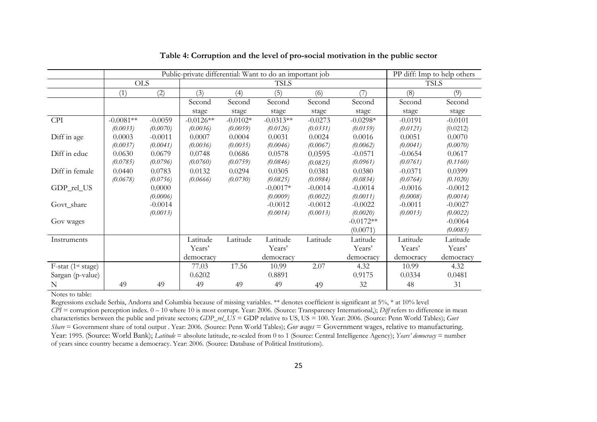|                                | Public-private differential: Want to do an important job |           |             |            |             |           |             |           | PP diff: Imp to help others |  |
|--------------------------------|----------------------------------------------------------|-----------|-------------|------------|-------------|-----------|-------------|-----------|-----------------------------|--|
|                                | <b>OLS</b>                                               |           |             |            | <b>TSLS</b> |           |             |           |                             |  |
|                                | (1)                                                      | (2)       | (3)         | (4)        | (5)         | (6)       | (7)         | (8)       | (9)                         |  |
|                                |                                                          |           | Second      | Second     | Second      | Second    | Second      | Second    | Second                      |  |
|                                |                                                          |           | stage       | stage      | stage       | stage     | stage       | stage     | stage                       |  |
| <b>CPI</b>                     | $-0.0081**$                                              | $-0.0059$ | $-0.0126**$ | $-0.0102*$ | $-0.0313**$ | $-0.0273$ | $-0.0298*$  | $-0.0191$ | $-0.0101$                   |  |
|                                | (0.0033)                                                 | (0.0070)  | (0.0036)    | (0.0059)   | (0.0126)    | (0.0331)  | (0.0159)    | (0.0121)  | (0.0212)                    |  |
| Diff in age                    | 0.0003                                                   | $-0.0011$ | 0.0007      | 0.0004     | 0.0031      | 0.0024    | 0.0016      | 0.0051    | 0.0070                      |  |
|                                | (0.0037)                                                 | (0.0041)  | (0.0036)    | (0.0035)   | (0.0046)    | (0.0067)  | (0.0062)    | (0.0041)  | (0.0070)                    |  |
| Diff in educ                   | 0.0630                                                   | 0.0679    | 0.0748      | 0.0686     | 0.0578      | 0.0595    | $-0.0571$   | $-0.0654$ | 0.0617                      |  |
|                                | (0.0785)                                                 | (0.0796)  | (0.0760)    | (0.0759)   | (0.0846)    | (0.0825)  | (0.0961)    | (0.0761)  | (0.1160)                    |  |
| Diff in female                 | 0.0440                                                   | 0.0783    | 0.0132      | 0.0294     | 0.0305      | 0.0381    | 0.0380      | $-0.0371$ | 0.0399                      |  |
|                                | (0.0678)                                                 | (0.0756)  | (0.0666)    | (0.0730)   | (0.0825)    | (0.0984)  | (0.0834)    | (0.0764)  | (0.1020)                    |  |
| GDP_rel_US                     |                                                          | 0.0000    |             |            | $-0.0017*$  | $-0.0014$ | $-0.0014$   | $-0.0016$ | $-0.0012$                   |  |
|                                |                                                          | (0.0006)  |             |            | (0.0009)    | (0.0022)  | (0.0011)    | (0.0008)  | (0.0014)                    |  |
| Govt_share                     |                                                          | $-0.0014$ |             |            | $-0.0012$   | $-0.0012$ | $-0.0022$   | $-0.0011$ | $-0.0027$                   |  |
|                                |                                                          | (0.0013)  |             |            | (0.0014)    | (0.0013)  | (0.0020)    | (0.0013)  | (0.0022)                    |  |
| Gov wages                      |                                                          |           |             |            |             |           | $-0.0172**$ |           | $-0.0064$                   |  |
|                                |                                                          |           |             |            |             |           | (0.0071)    |           | (0.0083)                    |  |
| Instruments                    |                                                          |           | Latitude    | Latitude   | Latitude    | Latitude  | Latitude    | Latitude  | Latitude                    |  |
|                                |                                                          |           | Years'      |            | Years'      |           | Years'      | Years'    | Years'                      |  |
|                                |                                                          |           | democracy   |            | democracy   |           | democracy   | democracy | democracy                   |  |
| F-stat (1 <sup>st</sup> stage) |                                                          |           | 77.03       | 17.56      | 10.99       | 2.07      | 4.32        | 10.99     | 4.32                        |  |
| Sargan (p-value)               |                                                          |           | 0.6202      |            | 0.8891      |           | 0.9175      | 0.0334    | 0.0481                      |  |
| N                              | 49                                                       | 49        | 49          | 49         | 49          | 49        | 32          | 48        | 31                          |  |

**Table 4: Corruption and the level of pro-social motivation in the public sector**

Notes to table:

Regressions exclude Serbia, Andorra and Columbia because of missing variables. \*\* denotes coefficient is significant at 5%, \* at 10% level  $CPI$  = corruption perception index.  $0 - 10$  where 10 is most corrupt. Year: 2006. (Source: Transparency International,); *Diff* refers to difference in mean characteristics between the public and private sectors; *GDP\_rel\_US* = GDP relative to US, US = 100. Year: 2006. (Source: Penn World Tables); *Govt Share* = Government share of total output . Year: 2006. (Source: Penn World Tables); *Gov wages* = Government wages, relative to manufacturing. Year: 1995. (Source: World Bank); *Latitude* = absolute latitude, re-scaled from 0 to 1 (Source: Central Intelligence Agency); *Years' democracy* = number of years since country became a democracy. Year: 2006. (Source: Database of Political Institutions).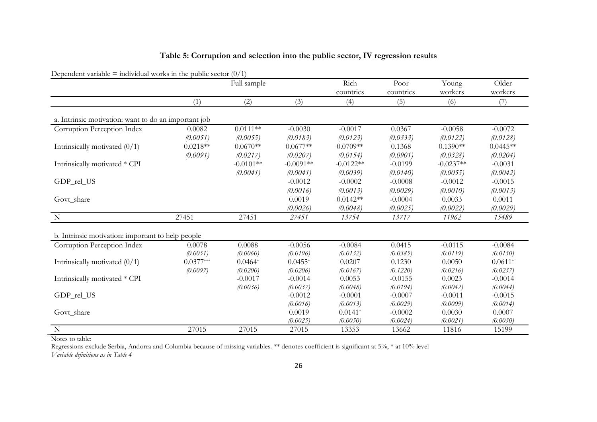| Dependent variable = individual works in the public sector $(0/1)$ |             |             |             |             |           |             |            |
|--------------------------------------------------------------------|-------------|-------------|-------------|-------------|-----------|-------------|------------|
|                                                                    |             | Full sample |             | Rich        | Poor      | Young       | Older      |
|                                                                    |             |             |             | countries   | countries | workers     | workers    |
|                                                                    | (1)         | (2)         | (3)         | (4)         | (5)       | (6)         | (7)        |
| a. Intrinsic motivation: want to do an important job               |             |             |             |             |           |             |            |
|                                                                    | 0.0082      | $0.0111**$  | $-0.0030$   | $-0.0017$   | 0.0367    | $-0.0058$   | $-0.0072$  |
| Corruption Perception Index                                        |             |             |             |             |           |             |            |
|                                                                    | (0.0051)    | (0.0055)    | (0.0183)    | (0.0123)    | (0.0333)  | (0.0122)    | (0.0128)   |
| Intrinsically motivated $(0/1)$                                    | $0.0218**$  | $0.0670**$  | $0.0677**$  | $0.0709**$  | 0.1368    | $0.1390**$  | $0.0445**$ |
|                                                                    | (0.0091)    | (0.0217)    | (0.0207)    | (0.0154)    | (0.0901)  | (0.0328)    | (0.0204)   |
| Intrinsically motivated * CPI                                      |             | $-0.0101**$ | $-0.0091**$ | $-0.0122**$ | $-0.0199$ | $-0.0237**$ | $-0.0031$  |
|                                                                    |             | (0.0041)    | (0.0041)    | (0.0039)    | (0.0140)  | (0.0055)    | (0.0042)   |
| GDP_rel_US                                                         |             |             | $-0.0012$   | $-0.0002$   | $-0.0008$ | $-0.0012$   | $-0.0015$  |
|                                                                    |             |             | (0.0016)    | (0.0013)    | (0.0029)  | (0.0010)    | (0.0013)   |
| Govt_share                                                         |             |             | 0.0019      | $0.0142**$  | $-0.0004$ | 0.0033      | 0.0011     |
|                                                                    |             |             | (0.0026)    | (0.0048)    | (0.0025)  | (0.0022)    | (0.0029)   |
| N                                                                  | 27451       | 27451       | 27451       | 13754       | 13717     | 11962       | 15489      |
|                                                                    |             |             |             |             |           |             |            |
| b. Intrinsic motivation: important to help people                  |             |             |             |             |           |             |            |
| Corruption Perception Index                                        | 0.0078      | 0.0088      | $-0.0056$   | $-0.0084$   | 0.0415    | $-0.0115$   | $-0.0084$  |
|                                                                    | (0.0051)    | (0.0060)    | (0.0196)    | (0.0132)    | (0.0385)  | (0.0119)    | (0.0150)   |
| Intrinsically motivated $(0/1)$                                    | $0.0377***$ | $0.0464*$   | $0.0455*$   | 0.0207      | 0.1230    | 0.0050      | $0.0611*$  |
|                                                                    | (0.0097)    | (0.0200)    | (0.0206)    | (0.0167)    | (0.1220)  | (0.0216)    | (0.0237)   |
| Intrinsically motivated * CPI                                      |             | $-0.0017$   | $-0.0014$   | 0.0053      | $-0.0155$ | 0.0023      | $-0.0014$  |
|                                                                    |             | (0.0036)    | (0.0037)    | (0.0048)    | (0.0194)  | (0.0042)    | (0.0044)   |
| GDP_rel_US                                                         |             |             | $-0.0012$   | $-0.0001$   | $-0.0007$ | $-0.0011$   | $-0.0015$  |
|                                                                    |             |             | (0.0016)    | (0.0013)    | (0.0029)  | (0.0009)    | (0.0014)   |
| Govt_share                                                         |             |             | 0.0019      | $0.0141*$   | $-0.0002$ | 0.0030      | 0.0007     |
|                                                                    |             |             | (0.0025)    | (0.0050)    | (0.0024)  | (0.0021)    | (0.0030)   |
| $\mathbf N$                                                        | 27015       | 27015       | 27015       | 13353       | 13662     | 11816       | 15199      |

# **Table 5: Corruption and selection into the public sector, IV regression results**

Notes to table:

Regressions exclude Serbia, Andorra and Columbia because of missing variables. \*\* denotes coefficient is significant at 5%, \* at 10% level *Variable definitions as in Table 4*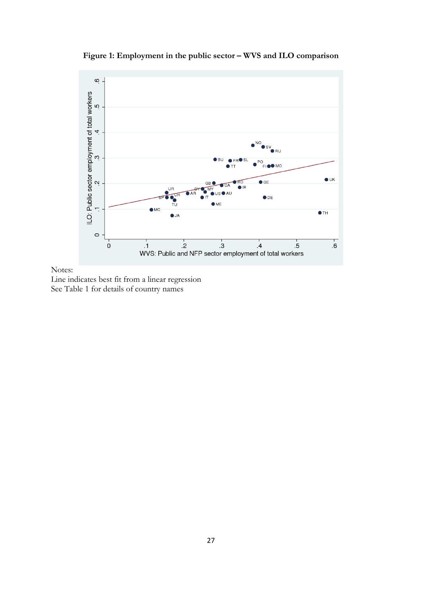

**Figure 1: Employment in the public sector – WVS and ILO comparison**

Notes:

Line indicates best fit from a linear regression See Table 1 for details of country names